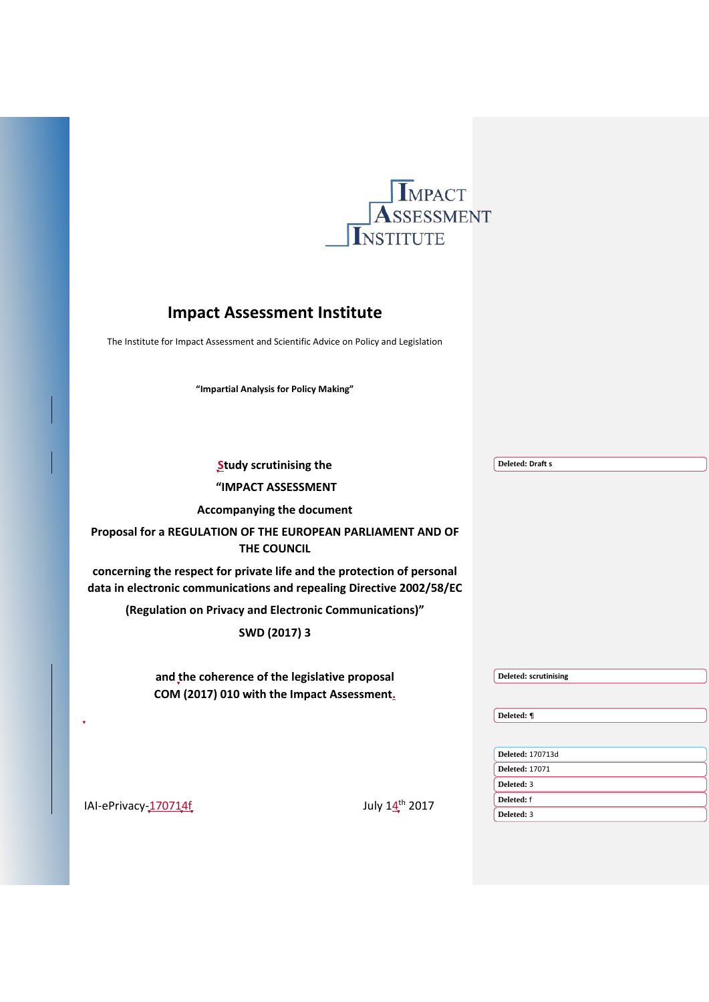

# **Impact Assessment Institute**

The Institute for Impact Assessment and Scientific Advice on Policy and Legislation

**"Impartial Analysis for Policy Making"**

| <b>Study scrutinising the</b>                                                                                                                  | <b>Deleted: Draft s</b>  |
|------------------------------------------------------------------------------------------------------------------------------------------------|--------------------------|
| "IMPACT ASSESSMENT                                                                                                                             |                          |
| <b>Accompanying the document</b>                                                                                                               |                          |
| Proposal for a REGULATION OF THE EUROPEAN PARLIAMENT AND OF<br><b>THE COUNCIL</b>                                                              |                          |
| concerning the respect for private life and the protection of personal<br>data in electronic communications and repealing Directive 2002/58/EC |                          |
| (Regulation on Privacy and Electronic Communications)"                                                                                         |                          |
| SWD (2017) 3                                                                                                                                   |                          |
|                                                                                                                                                |                          |
| and the coherence of the legislative proposal                                                                                                  | Deleted: scrutinising    |
| COM (2017) 010 with the Impact Assessment.                                                                                                     |                          |
|                                                                                                                                                | Deleted: ¶               |
|                                                                                                                                                |                          |
|                                                                                                                                                | <b>Deleted: 170713d</b>  |
|                                                                                                                                                | <b>Deleted: 17071</b>    |
|                                                                                                                                                | Deleted: 3               |
| July 14th 2017<br>IAI-ePrivacy-170714f                                                                                                         | Deleted: f<br>Deleted: 3 |
|                                                                                                                                                |                          |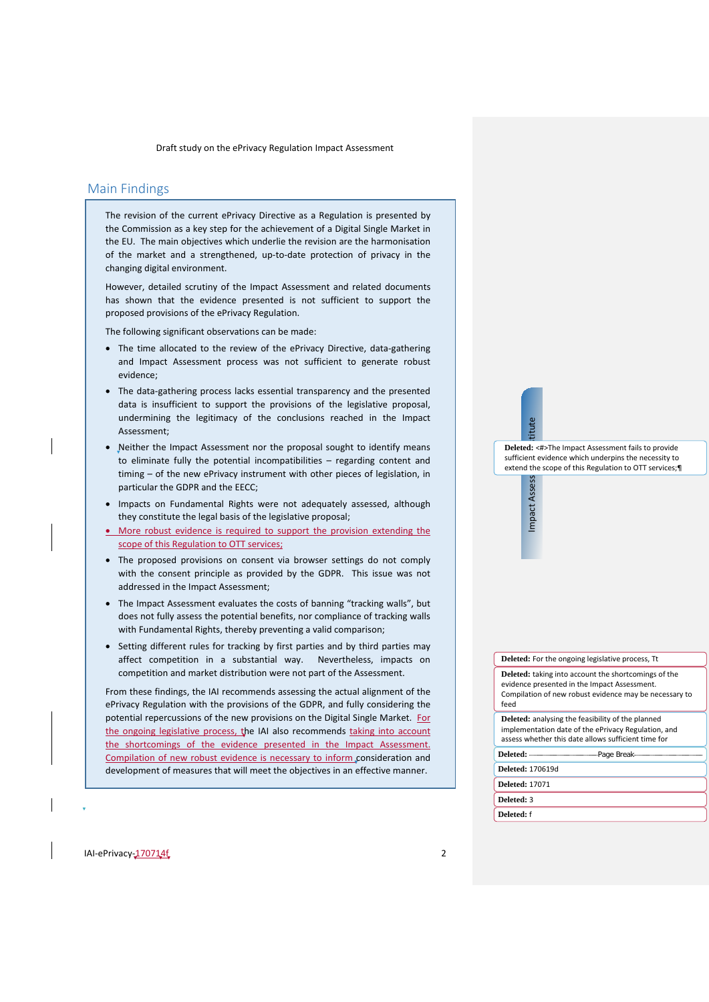# <span id="page-1-0"></span>Main Findings

The revision of the current ePrivacy Directive as a Regulation is presented by the Commission as a key step for the achievement of a Digital Single Market in the EU. The main objectives which underlie the revision are the harmonisation of the market and a strengthened, up-to-date protection of privacy in the changing digital environment.

However, detailed scrutiny of the Impact Assessment and related documents has shown that the evidence presented is not sufficient to support the proposed provisions of the ePrivacy Regulation.

The following significant observations can be made:

- The time allocated to the review of the ePrivacy Directive, data-gathering and Impact Assessment process was not sufficient to generate robust evidence;
- The data-gathering process lacks essential transparency and the presented data is insufficient to support the provisions of the legislative proposal, undermining the legitimacy of the conclusions reached in the Impact Assessment;
- Neither the Impact Assessment nor the proposal sought to identify means to eliminate fully the potential incompatibilities – regarding content and timing – of the new ePrivacy instrument with other pieces of legislation, in particular the GDPR and the EECC;
- Impacts on Fundamental Rights were not adequately assessed, although they constitute the legal basis of the legislative proposal;
- More robust evidence is required to support the provision extending the scope of this Regulation to OTT services;
- The proposed provisions on consent via browser settings do not comply with the consent principle as provided by the GDPR. This issue was not addressed in the Impact Assessment;
- The Impact Assessment evaluates the costs of banning "tracking walls", but does not fully assess the potential benefits, nor compliance of tracking walls with Fundamental Rights, thereby preventing a valid comparison;
- Setting different rules for tracking by first parties and by third parties may affect competition in a substantial way. Nevertheless, impacts on competition and market distribution were not part of the Assessment.

From these findings, the IAI recommends assessing the actual alignment of the ePrivacy Regulation with the provisions of the GDPR, and fully considering the potential repercussions of the new provisions on the Digital Single Market. For the ongoing legislative process, the IAI also recommends taking into account the shortcomings of the evidence presented in the Impact Assessment. Compilation of new robust evidence is necessary to inform consideration and development of measures that will meet the objectives in an effective manner.

Impact Assess = a : tritute **Deleted:** <#>The Impact Assessment fails to provide sufficient evidence which underpins the necessity to extend the scope of this Regulation to OTT services;¶

tue

Impact Asses

#### **Deleted:** For the ongoing legislative process, Tt

**Deleted:** taking into account the shortcomings of the evidence presented in the Impact Assessment. Compilation of new robust evidence may be necessary to feed

**Deleted:** analysing the feasibility of the planned implementation date of the ePrivacy Regulation, and assess whether this date allows sufficient time for

**Deleted:** Page Break

**Deleted:** 170619d

**Deleted:** 17071 **Deleted:** 3

**Deleted:** f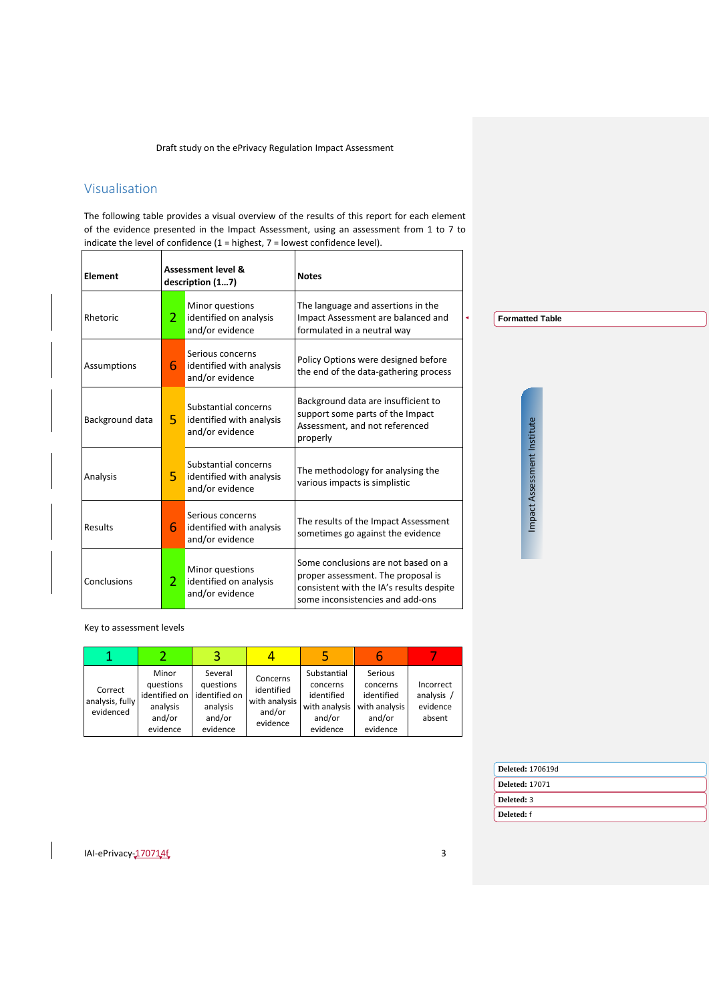# <span id="page-2-0"></span>Visualisation

The following table provides a visual overview of the results of this report for each element of the evidence presented in the Impact Assessment, using an assessment from 1 to 7 to indicate the level of confidence (1 = highest, 7 = lowest confidence level).

| Element         | <b>Assessment level &amp;</b><br>description (17) |                                                                     | <b>Notes</b>                                                                                                                                              |
|-----------------|---------------------------------------------------|---------------------------------------------------------------------|-----------------------------------------------------------------------------------------------------------------------------------------------------------|
| Rhetoric        | $\mathcal{P}$                                     | Minor questions<br>identified on analysis<br>and/or evidence        | The language and assertions in the<br>Impact Assessment are balanced and<br>formulated in a neutral way                                                   |
| Assumptions     | 6                                                 | Serious concerns<br>identified with analysis<br>and/or evidence     | Policy Options were designed before<br>the end of the data-gathering process                                                                              |
| Background data | 5.                                                | Substantial concerns<br>identified with analysis<br>and/or evidence | Background data are insufficient to<br>support some parts of the Impact<br>Assessment, and not referenced<br>properly                                     |
| Analysis        | 5                                                 | Substantial concerns<br>identified with analysis<br>and/or evidence | The methodology for analysing the<br>various impacts is simplistic                                                                                        |
| Results         | 6                                                 | Serious concerns<br>identified with analysis<br>and/or evidence     | The results of the Impact Assessment<br>sometimes go against the evidence                                                                                 |
| Conclusions     | $\mathcal{P}$                                     | Minor questions<br>identified on analysis<br>and/or evidence        | Some conclusions are not based on a<br>proper assessment. The proposal is<br>consistent with the IA's results despite<br>some inconsistencies and add-ons |

Key to assessment levels

| Correct<br>analysis, fully<br>evidenced | Minor<br>questions<br>identified on<br>analysis<br>and/or<br>evidence | Several<br>questions<br>identified on<br>analysis<br>and/or<br>evidence | Concerns<br>identified<br>with analysis<br>and/or<br>evidence | Substantial<br>concerns<br>identified<br>with analysis<br>and/or<br>evidence | Serious<br>concerns<br>identified<br>with analysis<br>and/or<br>evidence | Incorrect<br>analysis /<br>evidence<br>absent |
|-----------------------------------------|-----------------------------------------------------------------------|-------------------------------------------------------------------------|---------------------------------------------------------------|------------------------------------------------------------------------------|--------------------------------------------------------------------------|-----------------------------------------------|

|  | <b>Deleted: 170619d</b> |
|--|-------------------------|
|  | <b>Deleted: 17071</b>   |
|  | Deleted: 3              |
|  | Deleted: f              |

IAI-ePrivacy-<u>170714f</u>

**Formatted Table**

Impact Assessment Institute

Impact Assessment Institute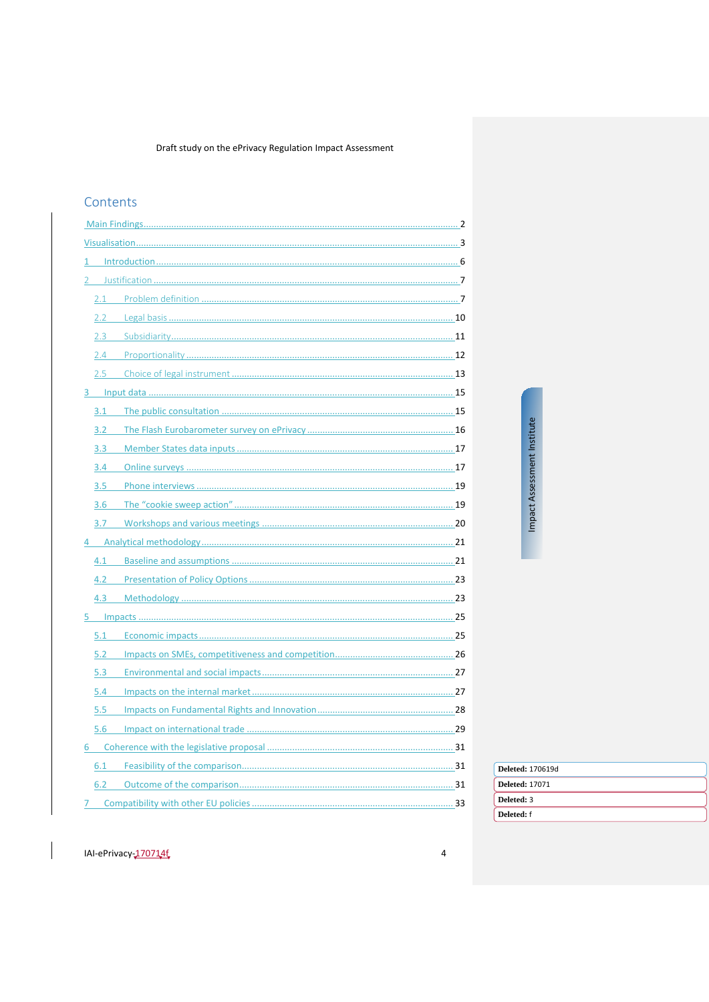# Contents

| 1                |  |
|------------------|--|
|                  |  |
|                  |  |
|                  |  |
| 2.3              |  |
|                  |  |
|                  |  |
|                  |  |
| 3.1              |  |
|                  |  |
| 3.3 <sub>1</sub> |  |
| 3.4              |  |
| 3.5              |  |
| 3.6              |  |
|                  |  |
|                  |  |
|                  |  |
|                  |  |
| 4.3              |  |
|                  |  |
| 5.1              |  |
| 5.2              |  |
| 5.3              |  |
| 5.4              |  |
| 5.5              |  |
| 5.6              |  |
|                  |  |
| 6.1              |  |
|                  |  |
| 7                |  |
|                  |  |

Impact Assessment Institute

 $\overline{4}$ 

|  | <b>Deleted: 170619d</b> |
|--|-------------------------|
|  | <b>Deleted: 17071</b>   |
|  | Deleted: 3              |
|  |                         |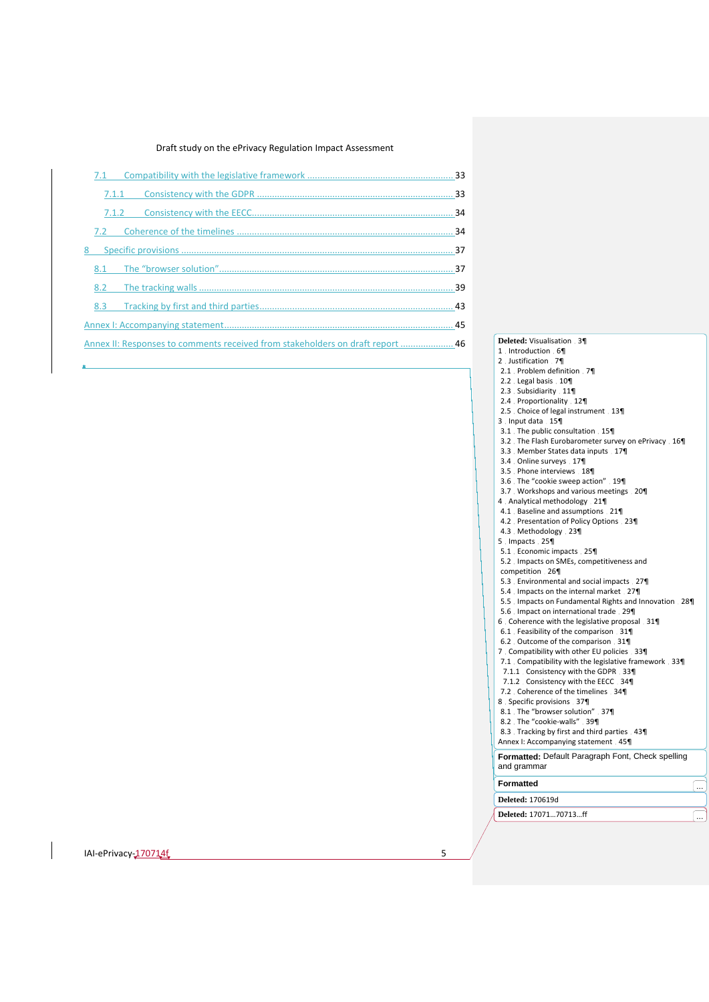|   | 7.1   |                                                                                |  |
|---|-------|--------------------------------------------------------------------------------|--|
|   | 7.1.1 |                                                                                |  |
|   | 7.1.2 |                                                                                |  |
|   | 7.2   |                                                                                |  |
| 8 |       |                                                                                |  |
|   | 8.1   |                                                                                |  |
|   | 8.2   |                                                                                |  |
|   | 8.3   |                                                                                |  |
|   |       |                                                                                |  |
|   |       | Annex II: Responses to comments received from stakeholders on draft report  46 |  |
|   |       |                                                                                |  |

- Annex **Deleted:** Visualisation 3¶ 1 Introduction 6
	- 2 Justification 7
	- 2.1 Problem definition 7
	- 2.2 Legal basis 10 2.3 Subsidiarity 11¶
	- 2.4 Proportionality 12
	- 2.5 Choice of legal instrument 13
	- 3 . Input data 15
	- 3.1 The public consultation 15
	- da<br>Paper Assessment<br>Institute<br>Paper Institutes<br>Institutes 3.2 The Flash Eurobarometer survey on ePrivacy 16
	- 3.3 Member States data inputs 17
	- 3.4 Online surveys 17
	- 3.5 Phone interviews 18
	- 3.6 The "cookie sweep action" 19
	- 3.7 Workshops and various meetings 20¶ 4 Analytical methodology 21¶
	- 4.1 Baseline and assumptions 21¶
	- 4.2 Presentation of Policy Options 23
	- 4.3 Methodology 23¶
	- 5 . Impacts . 25¶
	- 5.1 Economic impacts 25¶
	- 5.2 Impacts on SMEs, competitiveness and competition 26¶
	- 5.3 Environmental and social impacts 27¶
	- 5.4 Impacts on the internal market 27¶
	- 5.5 Impacts on Fundamental Rights and Innovation 28¶
	- 5.6 Impact on international trade 29
	- 6 Coherence with the legislative proposal 31¶
	- 6.1 Feasibility of the comparison 31¶
	- 6.2 Outcome of the comparison 31¶
	- 7 Compatibility with other EU policies 33¶
	- 7.1 Compatibility with the legislative framework 33¶
	- 7.1.1 Consistency with the GDPR 33¶
	- 7.1.2 Consistency with the EECC 34 7.2 Coherence of the timelines 34
	- 8 Specific provisions 37
	- 8.1 The "browser solution" 37
	- 8.2 The "cookie-walls" 39
	- 8.3 Tracking by first and third parties 43
	- Annex I: Accompanying statement 45
	- **Formatted:** Default Paragraph Font, Check spelling and grammar
	-

**Deleted:** 170619d **Formatted**  $\begin{bmatrix} \dots \end{bmatrix}$ 

**Deleted:** 17071...70713...ff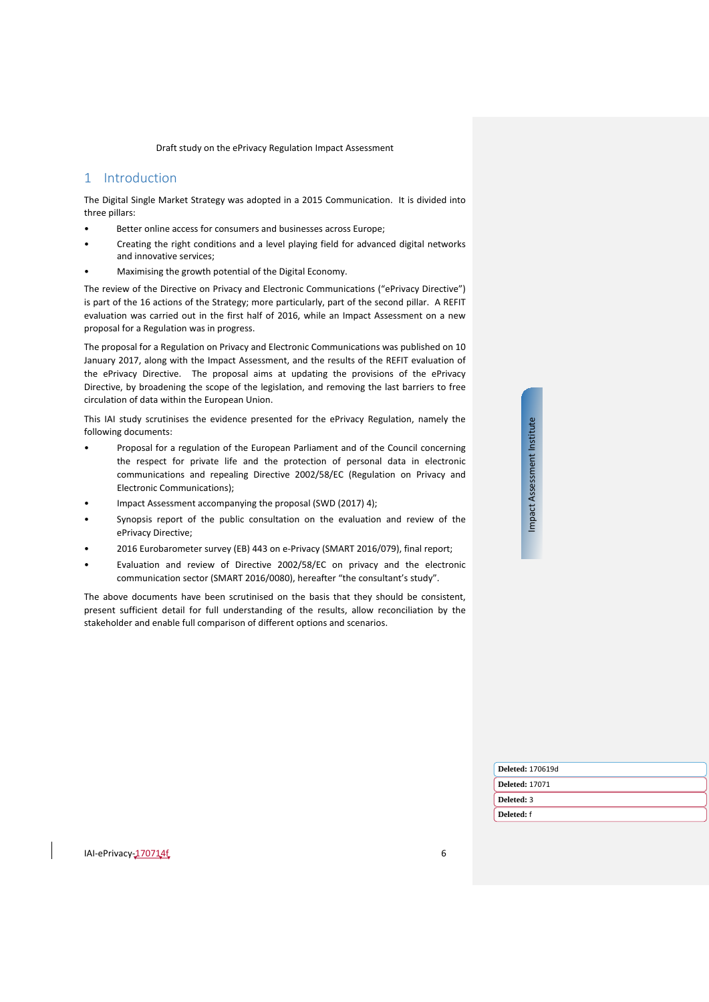# <span id="page-5-0"></span>1 Introduction

The Digital Single Market Strategy was adopted in a 2015 Communication. It is divided into three pillars:

- Better online access for consumers and businesses across Europe;
- Creating the right conditions and a level playing field for advanced digital networks and innovative services;
- Maximising the growth potential of the Digital Economy.

The review of the Directive on Privacy and Electronic Communications ("ePrivacy Directive") is part of the 16 actions of the Strategy; more particularly, part of the second pillar. A REFIT evaluation was carried out in the first half of 2016, while an Impact Assessment on a new proposal for a Regulation was in progress.

The proposal for a Regulation on Privacy and Electronic Communications was published on 10 January 2017, along with the Impact Assessment, and the results of the REFIT evaluation of the ePrivacy Directive. The proposal aims at updating the provisions of the ePrivacy Directive, by broadening the scope of the legislation, and removing the last barriers to free circulation of data within the European Union.

This IAI study scrutinises the evidence presented for the ePrivacy Regulation, namely the following documents:

- Proposal for a regulation of the European Parliament and of the Council concerning the respect for private life and the protection of personal data in electronic communications and repealing Directive 2002/58/EC (Regulation on Privacy and Electronic Communications);
- Impact Assessment accompanying the proposal (SWD (2017) 4);
- Synopsis report of the public consultation on the evaluation and review of the ePrivacy Directive;
- 2016 Eurobarometer survey (EB) 443 on e-Privacy (SMART 2016/079), final report;
- Evaluation and review of Directive 2002/58/EC on privacy and the electronic communication sector (SMART 2016/0080), hereafter "the consultant's study".

The above documents have been scrutinised on the basis that they should be consistent, present sufficient detail for full understanding of the results, allow reconciliation by the stakeholder and enable full comparison of different options and scenarios.

Impact Assessment Institute Impact Assessment Institute

|  | Deleted: 170619d      |
|--|-----------------------|
|  | <b>Deleted: 17071</b> |
|  | Deleted: 3            |
|  | Deleted: f            |
|  |                       |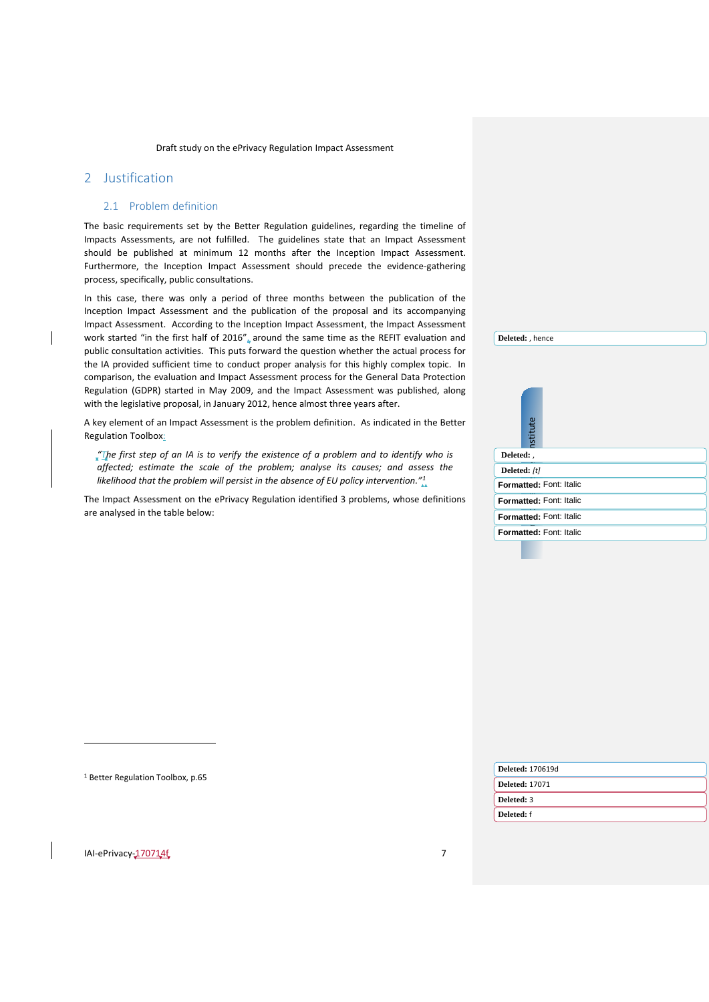# <span id="page-6-1"></span><span id="page-6-0"></span>2 Justification

 $\overline{a}$ 

### 2.1 Problem definition

The basic requirements set by the Better Regulation guidelines, regarding the timeline of Impacts Assessments, are not fulfilled. The guidelines state that an Impact Assessment should be published at minimum 12 months after the Inception Impact Assessment. Furthermore, the Inception Impact Assessment should precede the evidence-gathering process, specifically, public consultations.

In this case, there was only a period of three months between the publication of the Inception Impact Assessment and the publication of the proposal and its accompanying Impact Assessment. According to the Inception Impact Assessment, the Impact Assessment work started "in the first half of 2016", around the same time as the REFIT evaluation and public consultation activities. This puts forward the question whether the actual process for the IA provided sufficient time to conduct proper analysis for this highly complex topic. In comparison, the evaluation and Impact Assessment process for the General Data Protection Regulation (GDPR) started in May 2009, and the Impact Assessment was published, along with the legislative proposal, in January 2012, hence almost three years after.

A key element of an Impact Assessment is the problem definition. As indicated in the Better Regulation Toolbox:

*"The first step of an IA is to verify the existence of a problem and to identify who is affected; estimate the scale of the problem; analyse its causes; and assess the likelihood that the problem will persist in the absence of EU policy intervention."[1](#page-6-2)*

The Impact Assessment on the ePrivacy Regulation identified 3 problems, whose definitions are analysed in the table below:

|              | <b>nstitute</b> |                         |  |
|--------------|-----------------|-------------------------|--|
|              |                 |                         |  |
| Deleted:     |                 |                         |  |
| Deleted: [t] |                 |                         |  |
|              |                 | Formatted: Font: Italic |  |
|              |                 | Formatted: Font: Italic |  |
|              |                 | Formatted: Font: Italic |  |
|              |                 | Formatted: Font: Italic |  |
|              |                 |                         |  |

**Deleted:** , hence

<span id="page-6-2"></span>

| <sup>1</sup> Better Regulation Toolbox, p.65 | <b>Deleted: 170619d</b> |
|----------------------------------------------|-------------------------|
|                                              | <b>Deleted: 17071</b>   |
|                                              | Deleted: 3              |
|                                              | Deleted: f              |
|                                              | $\mathbb Z$             |
| IAI-ePrivacy-170714f                         |                         |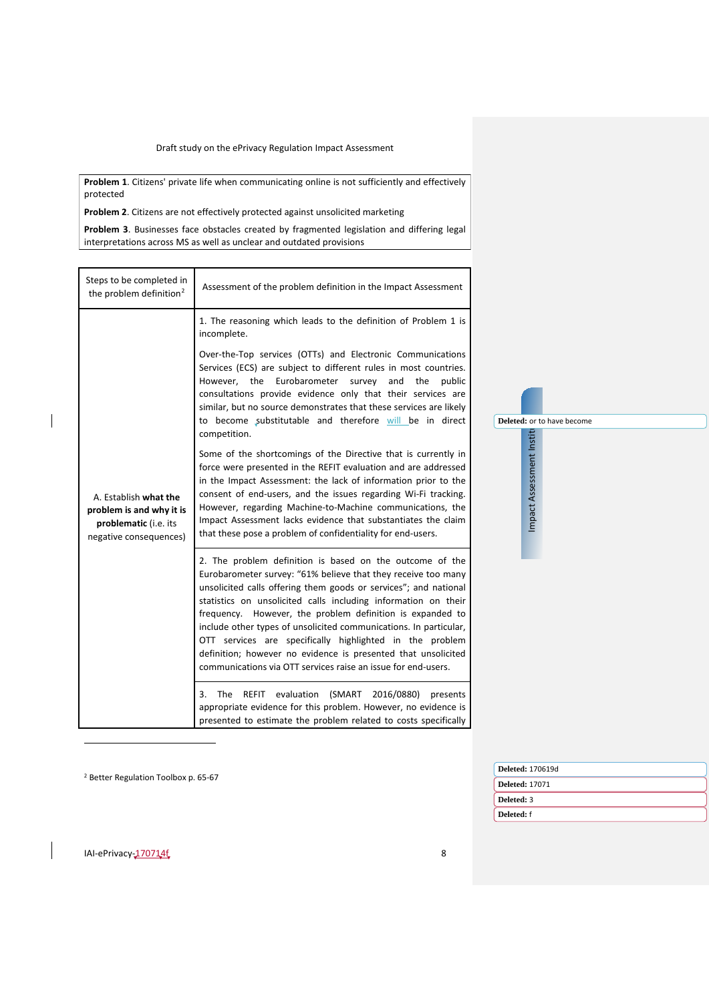**Problem 1**. Citizens' private life when communicating online is not sufficiently and effectively protected

**Problem 2**. Citizens are not effectively protected against unsolicited marketing

**Problem 3**. Businesses face obstacles created by fragmented legislation and differing legal interpretations across MS as well as unclear and outdated provisions

| Steps to be completed in<br>the problem definition <sup>2</sup>                                      | Assessment of the problem definition in the Impact Assessment                                                                                                                                                                                                                                                                                                                                                                                                                                                                                                                                   |                            |
|------------------------------------------------------------------------------------------------------|-------------------------------------------------------------------------------------------------------------------------------------------------------------------------------------------------------------------------------------------------------------------------------------------------------------------------------------------------------------------------------------------------------------------------------------------------------------------------------------------------------------------------------------------------------------------------------------------------|----------------------------|
|                                                                                                      | 1. The reasoning which leads to the definition of Problem 1 is<br>incomplete.<br>Over-the-Top services (OTTs) and Electronic Communications<br>Services (ECS) are subject to different rules in most countries.                                                                                                                                                                                                                                                                                                                                                                                 |                            |
|                                                                                                      | However, the Eurobarometer survey and the public<br>consultations provide evidence only that their services are<br>similar, but no source demonstrates that these services are likely<br>to become substitutable and therefore will be in direct                                                                                                                                                                                                                                                                                                                                                | Deleted: or to have become |
| A. Establish what the<br>problem is and why it is<br>problematic (i.e. its<br>negative consequences) | competition.<br>Some of the shortcomings of the Directive that is currently in<br>force were presented in the REFIT evaluation and are addressed<br>in the Impact Assessment: the lack of information prior to the<br>consent of end-users, and the issues regarding Wi-Fi tracking.<br>However, regarding Machine-to-Machine communications, the<br>Impact Assessment lacks evidence that substantiates the claim<br>that these pose a problem of confidentiality for end-users.                                                                                                               | Impact Assessment Institu  |
|                                                                                                      | 2. The problem definition is based on the outcome of the<br>Eurobarometer survey: "61% believe that they receive too many<br>unsolicited calls offering them goods or services"; and national<br>statistics on unsolicited calls including information on their<br>frequency. However, the problem definition is expanded to<br>include other types of unsolicited communications. In particular,<br>OTT services are specifically highlighted in the problem<br>definition; however no evidence is presented that unsolicited<br>communications via OTT services raise an issue for end-users. |                            |
|                                                                                                      | 3. The REFIT evaluation (SMART<br>2016/0880)<br>presents<br>appropriate evidence for this problem. However, no evidence is<br>presented to estimate the problem related to costs specifically                                                                                                                                                                                                                                                                                                                                                                                                   |                            |

<sup>2</sup> Better Regulation Toolbox p. 65-67

| <b>Deleted: 170619d</b> |
|-------------------------|
| <b>Deleted: 17071</b>   |
| Deleted: 3              |
| Deleted: f              |
|                         |

<span id="page-7-0"></span> $I = P(\text{N})$  and  $I = \frac{170714f}{8}$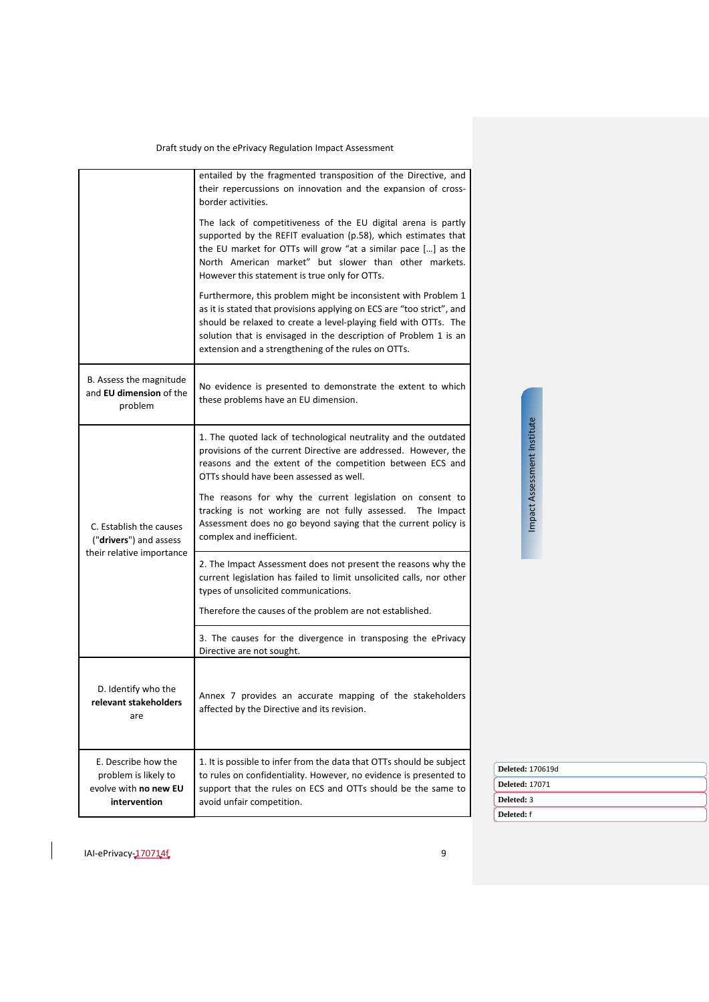|                                                                                      | entailed by the fragmented transposition of the Directive, and<br>their repercussions on innovation and the expansion of cross-<br>border activities.                                                                                                                                                                                  |
|--------------------------------------------------------------------------------------|----------------------------------------------------------------------------------------------------------------------------------------------------------------------------------------------------------------------------------------------------------------------------------------------------------------------------------------|
|                                                                                      | The lack of competitiveness of the EU digital arena is partly<br>supported by the REFIT evaluation (p.58), which estimates that<br>the EU market for OTTs will grow "at a similar pace [] as the<br>North American market" but slower than other markets.<br>However this statement is true only for OTTs.                             |
|                                                                                      | Furthermore, this problem might be inconsistent with Problem 1<br>as it is stated that provisions applying on ECS are "too strict", and<br>should be relaxed to create a level-playing field with OTTs. The<br>solution that is envisaged in the description of Problem 1 is an<br>extension and a strengthening of the rules on OTTs. |
| B. Assess the magnitude<br>and EU dimension of the<br>problem                        | No evidence is presented to demonstrate the extent to which<br>these problems have an EU dimension.                                                                                                                                                                                                                                    |
|                                                                                      | 1. The quoted lack of technological neutrality and the outdated<br>provisions of the current Directive are addressed. However, the<br>reasons and the extent of the competition between ECS and<br>OTTs should have been assessed as well.                                                                                             |
| C. Establish the causes<br>(" <b>drivers</b> ") and assess                           | The reasons for why the current legislation on consent to<br>tracking is not working are not fully assessed. The Impact<br>Assessment does no go beyond saying that the current policy is<br>complex and inefficient.                                                                                                                  |
| their relative importance                                                            | 2. The Impact Assessment does not present the reasons why the<br>current legislation has failed to limit unsolicited calls, nor other<br>types of unsolicited communications.                                                                                                                                                          |
|                                                                                      | Therefore the causes of the problem are not established.                                                                                                                                                                                                                                                                               |
|                                                                                      | 3. The causes for the divergence in transposing the ePrivacy<br>Directive are not sought.                                                                                                                                                                                                                                              |
| D. Identify who the<br>relevant stakeholders<br>are                                  | Annex 7 provides an accurate mapping of the stakeholders<br>affected by the Directive and its revision.                                                                                                                                                                                                                                |
| E. Describe how the<br>problem is likely to<br>evolve with no new EU<br>intervention | 1. It is possible to infer from the data that OTTs should be subject<br>to rules on confidentiality. However, no evidence is presented to<br>support that the rules on ECS and OTTs should be the same to<br>avoid unfair competition.                                                                                                 |

Impact Assessment Institute Impact Assessment Institute

IAI-ePrivacy-170714f, 9

**Deleted:** 170619d **Deleted:** 17071 **Deleted:** 3 **Deleted:** f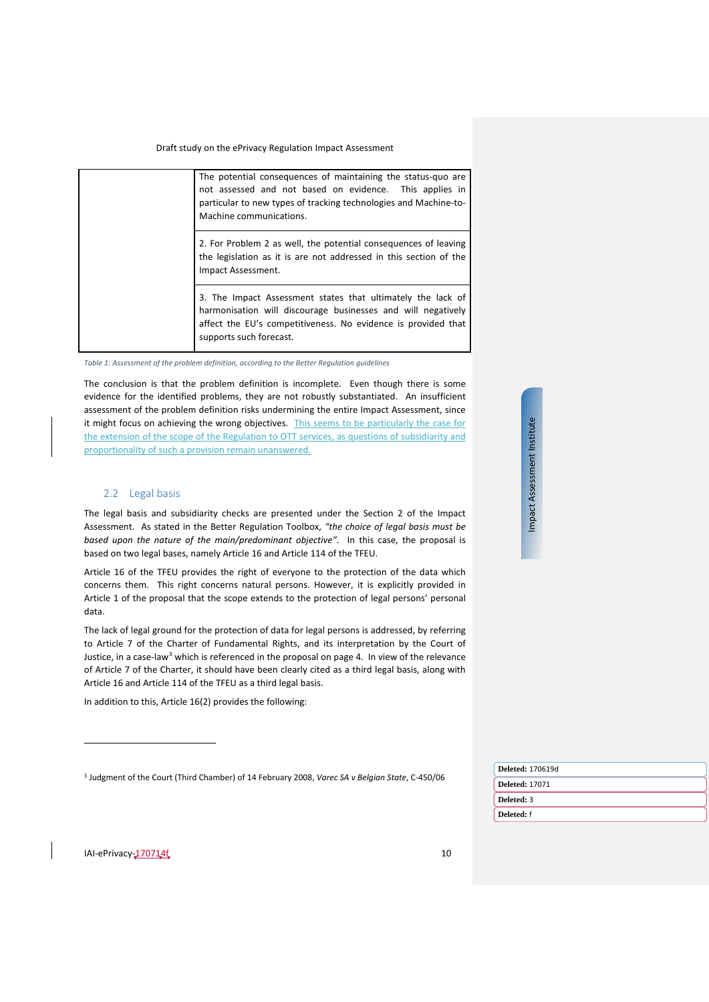| The potential consequences of maintaining the status-quo are<br>not assessed and not based on evidence. This applies in<br>particular to new types of tracking technologies and Machine-to-<br>Machine communications.  |
|-------------------------------------------------------------------------------------------------------------------------------------------------------------------------------------------------------------------------|
| 2. For Problem 2 as well, the potential consequences of leaving<br>the legislation as it is are not addressed in this section of the<br>Impact Assessment.                                                              |
| 3. The Impact Assessment states that ultimately the lack of<br>harmonisation will discourage businesses and will negatively<br>affect the EU's competitiveness. No evidence is provided that<br>supports such forecast. |

*Table 1: Assessment of the problem definition, according to the Better Regulation guidelines*

The conclusion is that the problem definition is incomplete. Even though there is some evidence for the identified problems, they are not robustly substantiated. An insufficient assessment of the problem definition risks undermining the entire Impact Assessment, since it might focus on achieving the wrong objectives. This seems to be particularly the case for the extension of the scope of the Regulation to OTT services, as questions of subsidiarity and proportionality of such a provision remain unanswered.

### <span id="page-9-0"></span>2.2 Legal basis

The legal basis and subsidiarity checks are presented under the Section 2 of the Impact Assessment. As stated in the Better Regulation Toolbox, *"the choice of legal basis must be based upon the nature of the main/predominant objective"*. In this case, the proposal is based on two legal bases, namely Article 16 and Article 114 of the TFEU.

Article 16 of the TFEU provides the right of everyone to the protection of the data which concerns them. This right concerns natural persons. However, it is explicitly provided in Article 1 of the proposal that the scope extends to the protection of legal persons' personal data.

The lack of legal ground for the protection of data for legal persons is addressed, by referring to Article 7 of the Charter of Fundamental Rights, and its interpretation by the Court of Justice, in a case-law<sup>[3](#page-9-1)</sup> which is referenced in the proposal on page 4. In view of the relevance of Article 7 of the Charter, it should have been clearly cited as a third legal basis, along with Article 16 and Article 114 of the TFEU as a third legal basis.

In addition to this, Article 16(2) provides the following:

<sup>3</sup> [Judgment of the Court \(Third Chamber\) of 14 February 2008,](http://curia.europa.eu/juris/document/document.jsf?text=&docid=71573&pageIndex=0&doclang=EN&mode=lst&dir=&occ=first&part=1&cid=563793) *Varec SA v Belgian State*, C-450/06

Impact Assessment Institute Impact Assessment Institute

|  | Deleted: 170619d      |
|--|-----------------------|
|  | <b>Deleted: 17071</b> |
|  | Deleted: 3            |
|  | Deleted: f            |
|  |                       |

<span id="page-9-1"></span>IAI-ePrivacy-170714f 10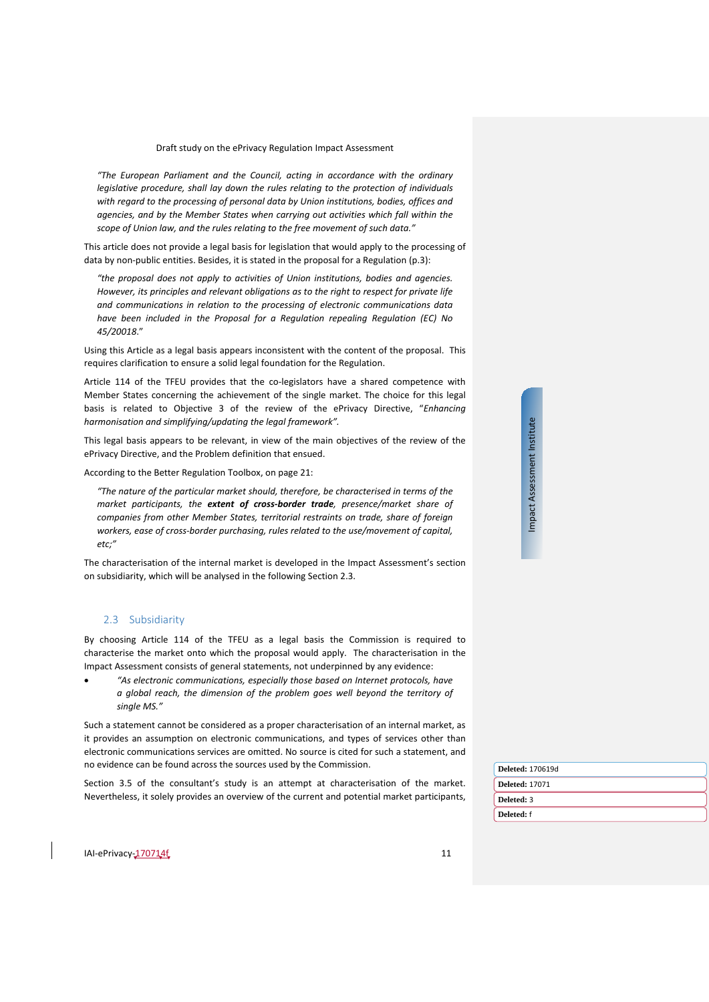*"The European Parliament and the Council, acting in accordance with the ordinary legislative procedure, shall lay down the rules relating to the protection of individuals with regard to the processing of personal data by Union institutions, bodies, offices and agencies, and by the Member States when carrying out activities which fall within the scope of Union law, and the rules relating to the free movement of such data."*

This article does not provide a legal basis for legislation that would apply to the processing of data by non-public entities. Besides, it is stated in the proposal for a Regulation (p.3):

*"the proposal does not apply to activities of Union institutions, bodies and agencies. However, its principles and relevant obligations as to the right to respect for private life and communications in relation to the processing of electronic communications data have been included in the Proposal for a Regulation repealing Regulation (EC) No 45/20018*."

Using this Article as a legal basis appears inconsistent with the content of the proposal. This requires clarification to ensure a solid legal foundation for the Regulation.

Article 114 of the TFEU provides that the co-legislators have a shared competence with Member States concerning the achievement of the single market. The choice for this legal basis is related to Objective 3 of the review of the ePrivacy Directive, "*Enhancing harmonisation and simplifying/updating the legal framework".*

This legal basis appears to be relevant, in view of the main objectives of the review of the ePrivacy Directive, and the Problem definition that ensued.

According to the Better Regulation Toolbox, on page 21:

*"The nature of the particular market should, therefore, be characterised in terms of the market participants, the extent of cross-border trade, presence/market share of companies from other Member States, territorial restraints on trade, share of foreign workers, ease of cross-border purchasing, rules related to the use/movement of capital, etc;"*

The characterisation of the internal market is developed in the Impact Assessment's section on subsidiarity, which will be analysed in the following Section [2.3.](#page-10-0)

# <span id="page-10-0"></span>2.3 Subsidiarity

By choosing Article 114 of the TFEU as a legal basis the Commission is required to characterise the market onto which the proposal would apply. The characterisation in the Impact Assessment consists of general statements, not underpinned by any evidence:

• *"As electronic communications, especially those based on Internet protocols, have a global reach, the dimension of the problem goes well beyond the territory of single MS."*

Such a statement cannot be considered as a proper characterisation of an internal market, as it provides an assumption on electronic communications, and types of services other than electronic communications services are omitted. No source is cited for such a statement, and no evidence can be found across the sources used by the Commission.

Section 3.5 of the consultant's study is an attempt at characterisation of the market. Nevertheless, it solely provides an overview of the current and potential market participants,

| ā  |
|----|
|    |
| ١  |
|    |
|    |
| į  |
| č  |
| ٠  |
|    |
|    |
|    |
| j  |
| ŗ  |
| ີ້ |
|    |
|    |
|    |

| Deleted: 170619d      |  |
|-----------------------|--|
| <b>Deleted: 17071</b> |  |
| Deleted: 3            |  |
| Deleted: f            |  |
|                       |  |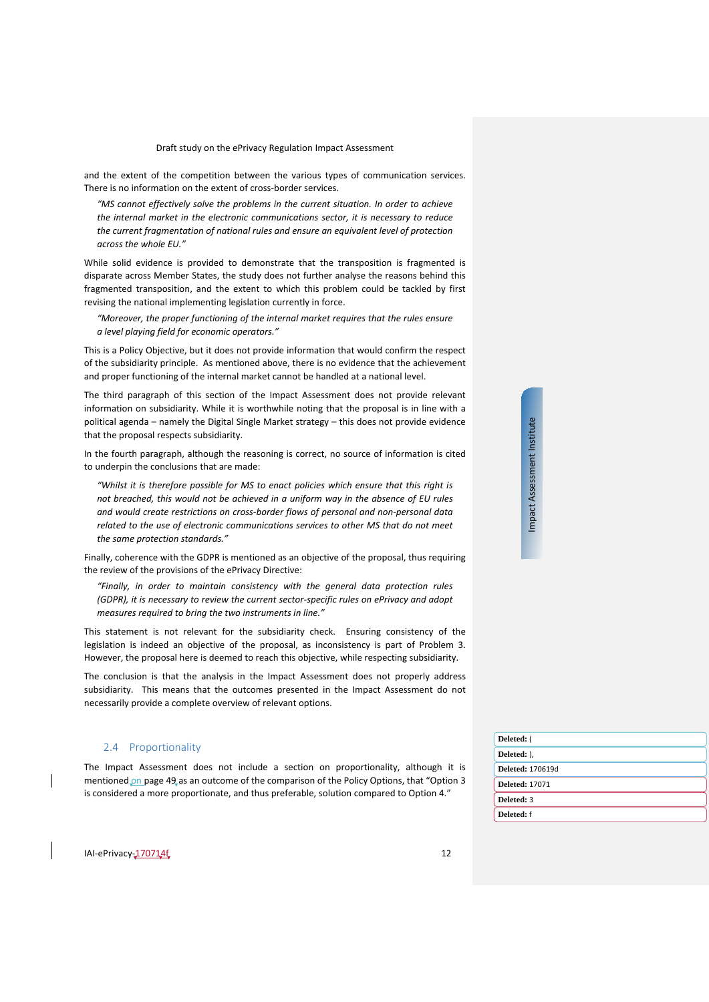and the extent of the competition between the various types of communication services. There is no information on the extent of cross-border services.

*"MS cannot effectively solve the problems in the current situation. In order to achieve the internal market in the electronic communications sector, it is necessary to reduce the current fragmentation of national rules and ensure an equivalent level of protection across the whole EU."*

While solid evidence is provided to demonstrate that the transposition is fragmented is disparate across Member States, the study does not further analyse the reasons behind this fragmented transposition, and the extent to which this problem could be tackled by first revising the national implementing legislation currently in force.

*"Moreover, the proper functioning of the internal market requires that the rules ensure a level playing field for economic operators."*

This is a Policy Objective, but it does not provide information that would confirm the respect of the subsidiarity principle. As mentioned above, there is no evidence that the achievement and proper functioning of the internal market cannot be handled at a national level.

The third paragraph of this section of the Impact Assessment does not provide relevant information on subsidiarity. While it is worthwhile noting that the proposal is in line with a political agenda – namely the Digital Single Market strategy – this does not provide evidence that the proposal respects subsidiarity.

In the fourth paragraph, although the reasoning is correct, no source of information is cited to underpin the conclusions that are made:

*"Whilst it is therefore possible for MS to enact policies which ensure that this right is not breached, this would not be achieved in a uniform way in the absence of EU rules and would create restrictions on cross-border flows of personal and non-personal data related to the use of electronic communications services to other MS that do not meet the same protection standards."*

Finally, coherence with the GDPR is mentioned as an objective of the proposal, thus requiring the review of the provisions of the ePrivacy Directive:

*"Finally, in order to maintain consistency with the general data protection rules (GDPR), it is necessary to review the current sector-specific rules on ePrivacy and adopt measures required to bring the two instruments in line."*

This statement is not relevant for the subsidiarity check. Ensuring consistency of the legislation is indeed an objective of the proposal, as inconsistency is part of Problem 3. However, the proposal here is deemed to reach this objective, while respecting subsidiarity.

The conclusion is that the analysis in the Impact Assessment does not properly address subsidiarity. This means that the outcomes presented in the Impact Assessment do not necessarily provide a complete overview of relevant options.

# <span id="page-11-0"></span>2.4 Proportionality

The Impact Assessment does not include a section on proportionality, although it is mentioned on page 49 as an outcome of the comparison of the Policy Options, that "Option 3 is considered a more proportionate, and thus preferable, solution compared to Option 4."

| Deleted: (              |
|-------------------------|
| Deleted: ).             |
| <b>Deleted: 170619d</b> |
| <b>Deleted: 17071</b>   |
| Deleted: 3              |
| Deleted: f              |

IAI-ePrivacy-170714f 12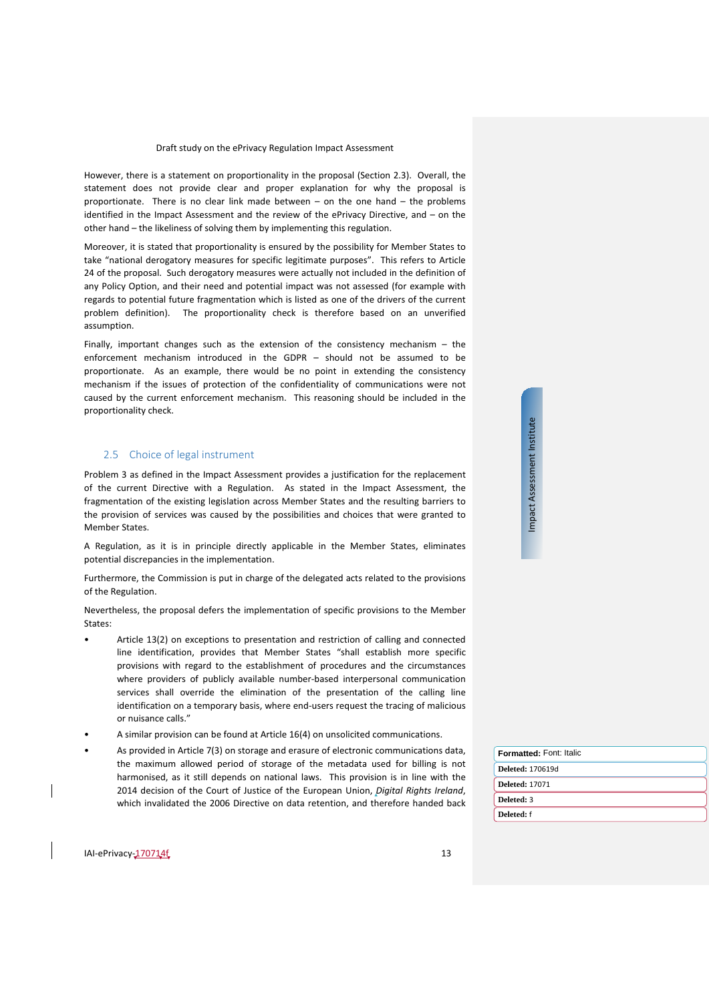However, there is a statement on proportionality in the proposal (Section [2.3\)](#page-10-0). Overall, the statement does not provide clear and proper explanation for why the proposal is proportionate. There is no clear link made between – on the one hand – the problems identified in the Impact Assessment and the review of the ePrivacy Directive, and – on the other hand – the likeliness of solving them by implementing this regulation.

Moreover, it is stated that proportionality is ensured by the possibility for Member States to take "national derogatory measures for specific legitimate purposes". This refers to Article 24 of the proposal. Such derogatory measures were actually not included in the definition of any Policy Option, and their need and potential impact was not assessed (for example with regards to potential future fragmentation which is listed as one of the drivers of the current problem definition). The proportionality check is therefore based on an unverified assumption.

Finally, important changes such as the extension of the consistency mechanism – the enforcement mechanism introduced in the GDPR – should not be assumed to be proportionate. As an example, there would be no point in extending the consistency mechanism if the issues of protection of the confidentiality of communications were not caused by the current enforcement mechanism. This reasoning should be included in the proportionality check.

# <span id="page-12-0"></span>2.5 Choice of legal instrument

Problem 3 as defined in the Impact Assessment provides a justification for the replacement of the current Directive with a Regulation. As stated in the Impact Assessment, the fragmentation of the existing legislation across Member States and the resulting barriers to the provision of services was caused by the possibilities and choices that were granted to Member States.

A Regulation, as it is in principle directly applicable in the Member States, eliminates potential discrepancies in the implementation.

Furthermore, the Commission is put in charge of the delegated acts related to the provisions of the Regulation.

Nevertheless, the proposal defers the implementation of specific provisions to the Member States:

- Article 13(2) on exceptions to presentation and restriction of calling and connected line identification, provides that Member States "shall establish more specific provisions with regard to the establishment of procedures and the circumstances where providers of publicly available number-based interpersonal communication services shall override the elimination of the presentation of the calling line identification on a temporary basis, where end-users request the tracing of malicious or nuisance calls."
- A similar provision can be found at Article 16(4) on unsolicited communications.
- As provided in Article 7(3) on storage and erasure of electronic communications data, the maximum allowed period of storage of the metadata used for billing is not harmonised, as it still depends on national laws. This provision is in line with the 2014 decision of the Court of Justice of the European Union, *Digital Rights Ireland*, which invalidated the 2006 Directive on data retention, and therefore handed back

**Deleted:** 170619d **Deleted:** 17071 **Deleted:** 3 **Deleted:** f **Formatted:** Font: Italic

 $I = P(\text{linear})$  13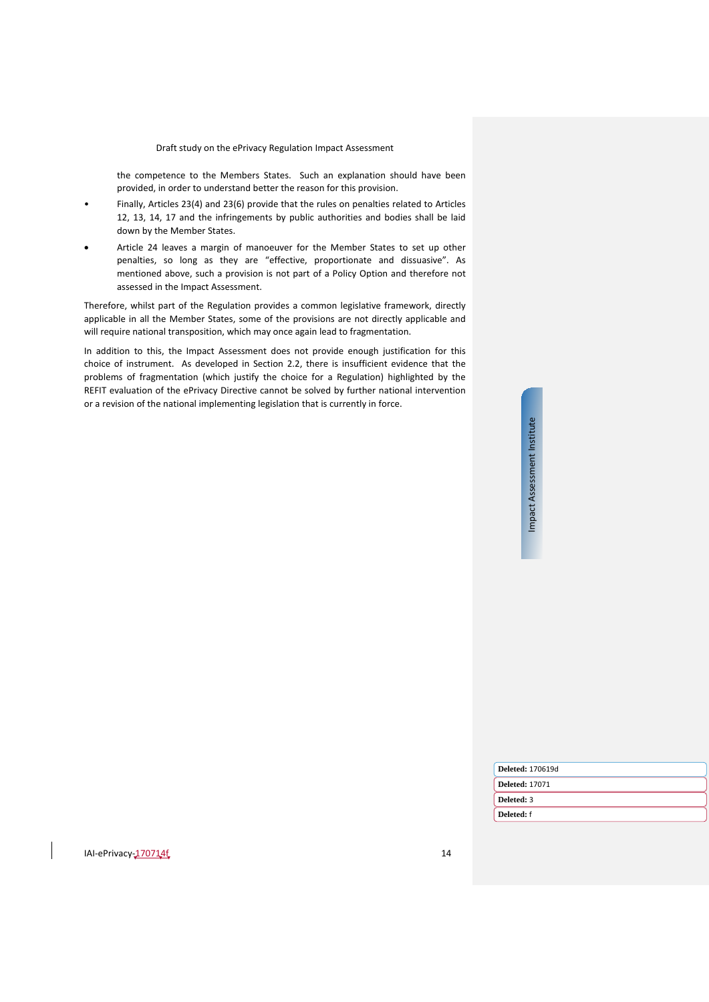the competence to the Members States. Such an explanation should have been provided, in order to understand better the reason for this provision.

- Finally, Articles 23(4) and 23(6) provide that the rules on penalties related to Articles 12, 13, 14, 17 and the infringements by public authorities and bodies shall be laid down by the Member States.
- Article 24 leaves a margin of manoeuver for the Member States to set up other penalties, so long as they are "effective, proportionate and dissuasive". As mentioned above, such a provision is not part of a Policy Option and therefore not assessed in the Impact Assessment.

Therefore, whilst part of the Regulation provides a common legislative framework, directly applicable in all the Member States, some of the provisions are not directly applicable and will require national transposition, which may once again lead to fragmentation.

In addition to this, the Impact Assessment does not provide enough justification for this choice of instrument. As developed in Section [2.2,](#page-9-0) there is insufficient evidence that the problems of fragmentation (which justify the choice for a Regulation) highlighted by the REFIT evaluation of the ePrivacy Directive cannot be solved by further national intervention or a revision of the national implementing legislation that is currently in force.

| <b>Deleted: 170619d</b> |
|-------------------------|
| <b>Deleted: 17071</b>   |
| Deleted: 3              |
| Deleted: f              |
|                         |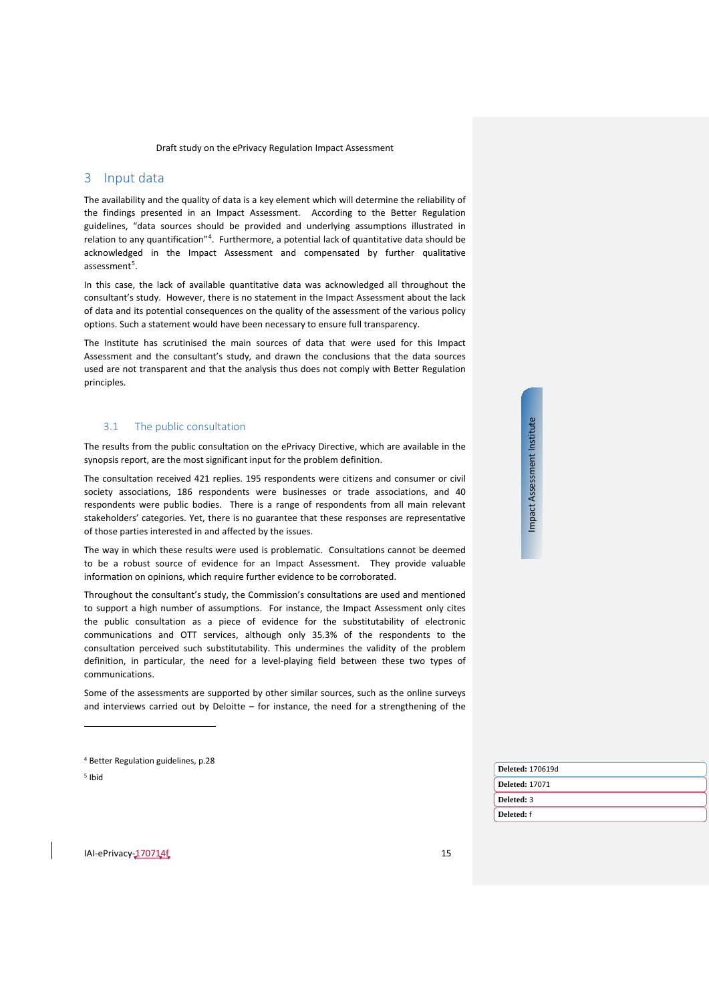# <span id="page-14-0"></span>3 Input data

The availability and the quality of data is a key element which will determine the reliability of the findings presented in an Impact Assessment. According to the Better Regulation guidelines, "data sources should be provided and underlying assumptions illustrated in relation to any quantification"<sup>[4](#page-14-2)</sup>. Furthermore, a potential lack of quantitative data should be acknowledged in the Impact Assessment and compensated by further qualitative assessment<sup>[5](#page-14-3)</sup>.

In this case, the lack of available quantitative data was acknowledged all throughout the consultant's study. However, there is no statement in the Impact Assessment about the lack of data and its potential consequences on the quality of the assessment of the various policy options. Such a statement would have been necessary to ensure full transparency.

The Institute has scrutinised the main sources of data that were used for this Impact Assessment and the consultant's study, and drawn the conclusions that the data sources used are not transparent and that the analysis thus does not comply with Better Regulation principles.

# <span id="page-14-1"></span>3.1 The public consultation

The results from the public consultation on the ePrivacy Directive, which are available in the synopsis report, are the most significant input for the problem definition.

The consultation received 421 replies. 195 respondents were citizens and consumer or civil society associations, 186 respondents were businesses or trade associations, and 40 respondents were public bodies. There is a range of respondents from all main relevant stakeholders' categories. Yet, there is no guarantee that these responses are representative of those parties interested in and affected by the issues.

The way in which these results were used is problematic. Consultations cannot be deemed to be a robust source of evidence for an Impact Assessment. They provide valuable information on opinions, which require further evidence to be corroborated.

Throughout the consultant's study, the Commission's consultations are used and mentioned to support a high number of assumptions. For instance, the Impact Assessment only cites the public consultation as a piece of evidence for the substitutability of electronic communications and OTT services, although only 35.3% of the respondents to the consultation perceived such substitutability. This undermines the validity of the problem definition, in particular, the need for a level-playing field between these two types of communications.

Some of the assessments are supported by other similar sources, such as the online surveys and interviews carried out by Deloitte – for instance, the need for a strengthening of the

<span id="page-14-3"></span><span id="page-14-2"></span><sup>5</sup> Ibid

 $\overline{a}$ 

| Deleted: 170619d |
|------------------|
| Deleted: 17071   |
| Deleted: 3       |
| Deleted: f       |
|                  |

<sup>4</sup> Better Regulation guidelines, p.28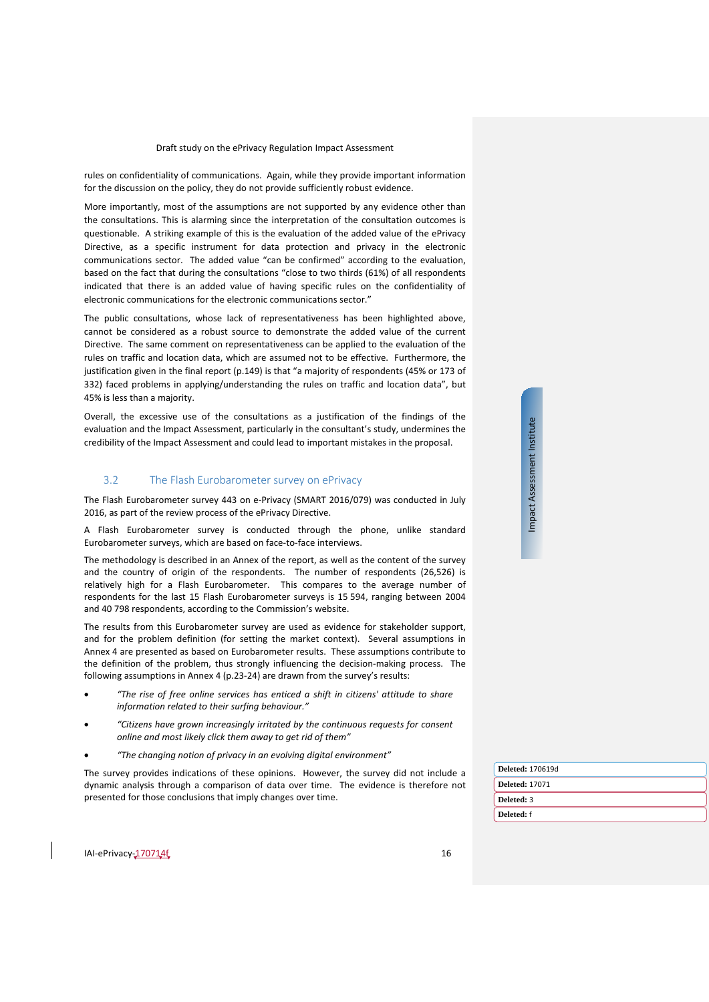rules on confidentiality of communications. Again, while they provide important information for the discussion on the policy, they do not provide sufficiently robust evidence.

More importantly, most of the assumptions are not supported by any evidence other than the consultations. This is alarming since the interpretation of the consultation outcomes is questionable. A striking example of this is the evaluation of the added value of the ePrivacy Directive, as a specific instrument for data protection and privacy in the electronic communications sector. The added value "can be confirmed" according to the evaluation, based on the fact that during the consultations "close to two thirds (61%) of all respondents indicated that there is an added value of having specific rules on the confidentiality of electronic communications for the electronic communications sector."

The public consultations, whose lack of representativeness has been highlighted above, cannot be considered as a robust source to demonstrate the added value of the current Directive. The same comment on representativeness can be applied to the evaluation of the rules on traffic and location data, which are assumed not to be effective. Furthermore, the justification given in the final report (p.149) is that "a majority of respondents (45% or 173 of 332) faced problems in applying/understanding the rules on traffic and location data", but 45% is less than a majority.

Overall, the excessive use of the consultations as a justification of the findings of the evaluation and the Impact Assessment, particularly in the consultant's study, undermines the credibility of the Impact Assessment and could lead to important mistakes in the proposal.

#### <span id="page-15-0"></span>3.2 The Flash Eurobarometer survey on ePrivacy

The Flash Eurobarometer survey 443 on e-Privacy (SMART 2016/079) was conducted in July 2016, as part of the review process of the ePrivacy Directive.

A Flash Eurobarometer survey is conducted through the phone, unlike standard Eurobarometer surveys, which are based on face-to-face interviews.

The methodology is described in an Annex of the report, as well as the content of the survey and the country of origin of the respondents. The number of respondents (26,526) is relatively high for a Flash Eurobarometer. This compares to the average number of respondents for the last 15 Flash Eurobarometer surveys is 15 594, ranging between 2004 and 40 798 respondents, according to the Commission's website.

The results from this Eurobarometer survey are used as evidence for stakeholder support, and for the problem definition (for setting the market context). Several assumptions in Annex 4 are presented as based on Eurobarometer results. These assumptions contribute to the definition of the problem, thus strongly influencing the decision-making process. The following assumptions in Annex 4 (p.23-24) are drawn from the survey's results:

- *"The rise of free online services has enticed a shift in citizens' attitude to share information related to their surfing behaviour."*
- *"Citizens have grown increasingly irritated by the continuous requests for consent online and most likely click them away to get rid of them"*
- *"The changing notion of privacy in an evolving digital environment"*

The survey provides indications of these opinions. However, the survey did not include a dynamic analysis through a comparison of data over time. The evidence is therefore not presented for those conclusions that imply changes over time.

| <b>Deleted: 170619d</b> |
|-------------------------|
| <b>Deleted: 17071</b>   |
| Deleted: 3              |
| Deleted: f              |
|                         |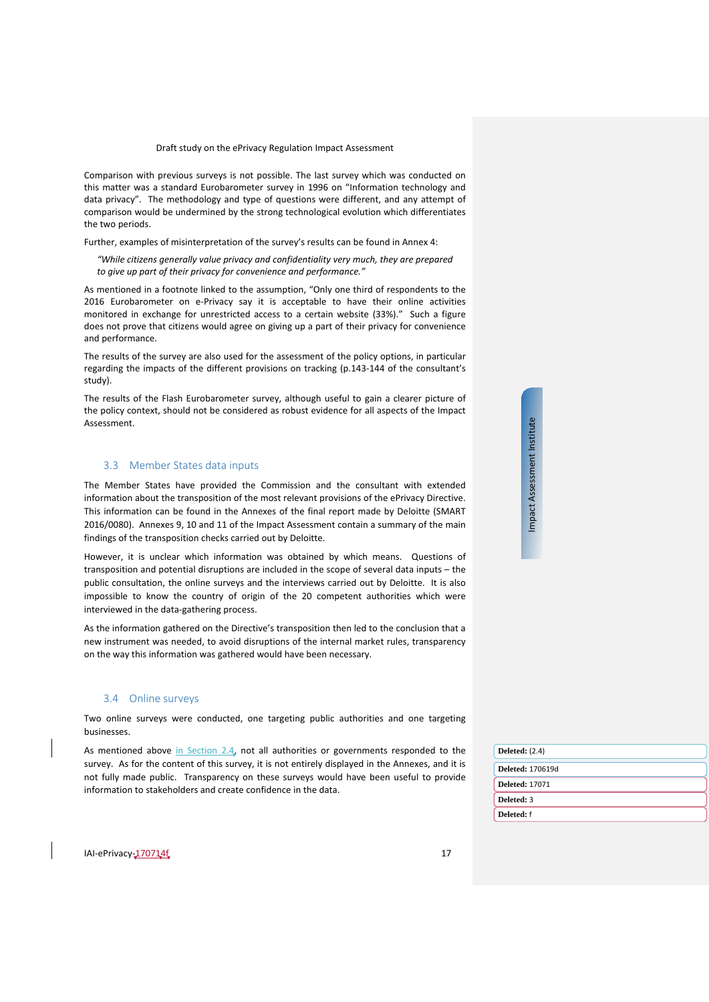Comparison with previous surveys is not possible. The last survey which was conducted on this matter was a standard Eurobarometer survey in 1996 on "Information technology and data privacy". The methodology and type of questions were different, and any attempt of comparison would be undermined by the strong technological evolution which differentiates the two periods.

Further, examples of misinterpretation of the survey's results can be found in Annex 4:

*"While citizens generally value privacy and confidentiality very much, they are prepared to give up part of their privacy for convenience and performance."* 

As mentioned in a footnote linked to the assumption, "Only one third of respondents to the 2016 Eurobarometer on e-Privacy say it is acceptable to have their online activities monitored in exchange for unrestricted access to a certain website (33%)." Such a figure does not prove that citizens would agree on giving up a part of their privacy for convenience and performance.

The results of the survey are also used for the assessment of the policy options, in particular regarding the impacts of the different provisions on tracking (p.143-144 of the consultant's study).

The results of the Flash Eurobarometer survey, although useful to gain a clearer picture of the policy context, should not be considered as robust evidence for all aspects of the Impact Assessment.

# <span id="page-16-0"></span>3.3 Member States data inputs

The Member States have provided the Commission and the consultant with extended information about the transposition of the most relevant provisions of the ePrivacy Directive. This information can be found in the Annexes of the final report made by Deloitte (SMART 2016/0080). Annexes 9, 10 and 11 of the Impact Assessment contain a summary of the main findings of the transposition checks carried out by Deloitte.

However, it is unclear which information was obtained by which means. Questions of transposition and potential disruptions are included in the scope of several data inputs – the public consultation, the online surveys and the interviews carried out by Deloitte. It is also impossible to know the country of origin of the 20 competent authorities which were interviewed in the data-gathering process.

As the information gathered on the Directive's transposition then led to the conclusion that a new instrument was needed, to avoid disruptions of the internal market rules, transparency on the way this information was gathered would have been necessary.

### <span id="page-16-1"></span>3.4 Online surveys

Two online surveys were conducted, one targeting public authorities and one targeting businesses.

As mentioned above in Section 2.4, not all authorities or governments responded to the survey. As for the content of this survey, it is not entirely displayed in the Annexes, and it is not fully made public. Transparency on these surveys would have been useful to provide information to stakeholders and create confidence in the data.

| <b>Deleted:</b> (2.4)   |
|-------------------------|
| <b>Deleted: 170619d</b> |
| <b>Deleted: 17071</b>   |
| Deleted: 3              |
| Deleted: f              |
|                         |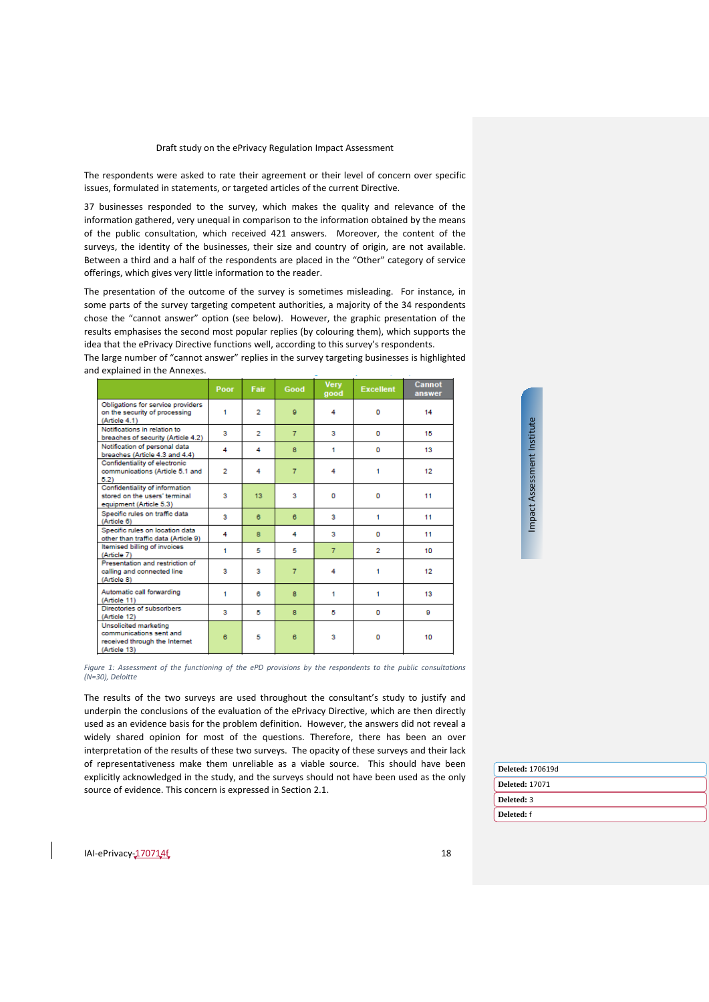The respondents were asked to rate their agreement or their level of concern over specific issues, formulated in statements, or targeted articles of the current Directive.

37 businesses responded to the survey, which makes the quality and relevance of the information gathered, very unequal in comparison to the information obtained by the means of the public consultation, which received 421 answers. Moreover, the content of the surveys, the identity of the businesses, their size and country of origin, are not available. Between a third and a half of the respondents are placed in the "Other" category of service offerings, which gives very little information to the reader.

The presentation of the outcome of the survey is sometimes misleading. For instance, in some parts of the survey targeting competent authorities, a majority of the 34 respondents chose the "cannot answer" option (see below). However, the graphic presentation of the results emphasises the second most popular replies (by colouring them), which supports the idea that the ePrivacy Directive functions well, according to this survey's respondents.

The large number of "cannot answer" replies in the survey targeting businesses is highlighted and explained in the Annexes.

|                                                                                                   | Poor                    | Fair           | Good           | <b>Very</b><br>good | <b>Excellent</b> | Cannot<br>answer |
|---------------------------------------------------------------------------------------------------|-------------------------|----------------|----------------|---------------------|------------------|------------------|
| Obligations for service providers<br>on the security of processing<br>(Article 4.1)               | 1                       | 2              | $\mathbf{Q}$   | 4                   | o                | 14               |
| Notifications in relation to<br>breaches of security (Article 4.2)                                | 3                       | $\overline{2}$ | $\overline{7}$ | 3                   | o                | 15               |
| Notification of personal data<br>breaches (Article 4.3 and 4.4)                                   | 4                       | 4              | 8              | 1                   | n                | 13               |
| Confidentiality of electronic<br>communications (Article 5.1 and<br>5.2)                          | $\overline{2}$          | 4              | $\overline{7}$ | 4                   | 1                | 12               |
| Confidentiality of information<br>stored on the users' terminal<br>equipment (Article 5.3)        | 3                       | 13             | 3              | o                   | o                | 11               |
| Specific rules on traffic data<br>(Article 6)                                                     | $\overline{\mathbf{3}}$ | 6              | 6              | 3                   | 1                | 11               |
| Specific rules on location data<br>other than traffic data (Article 9)                            | 4                       | 8              | 4              | 3                   | o                | 11               |
| Itemised billing of invoices<br>(Article 7)                                                       | 1                       | 5              | 5              | $\overline{7}$      | $\overline{2}$   | 10               |
| Presentation and restriction of<br>calling and connected line<br>(Article 8)                      | 3                       | 3              | $\overline{7}$ | 4                   | 1                | 12               |
| Automatic call forwarding<br>(Article 11)                                                         | 1                       | в              | 8              | 1                   | 1                | 13               |
| Directories of subscribers<br>(Article 12)                                                        | 3                       | 5              | 8              | 5                   | o                | ø                |
| Unsolicited marketing<br>communications sent and<br>received through the Internet<br>(Article 13) | 6                       | 5              | 6              | 3                   | o                | 10               |

Impact Assessment Institute Impact Assessment Institute

*Figure 1: Assessment of the functioning of the ePD provisions by the respondents to the public consultations (N=30), Deloitte*

The results of the two surveys are used throughout the consultant's study to justify and underpin the conclusions of the evaluation of the ePrivacy Directive, which are then directly used as an evidence basis for the problem definition. However, the answers did not reveal a widely shared opinion for most of the questions. Therefore, there has been an over interpretation of the results of these two surveys. The opacity of these surveys and their lack of representativeness make them unreliable as a viable source. This should have been explicitly acknowledged in the study, and the surveys should not have been used as the only source of evidence. This concern is expressed in Section [2.1.](#page-6-1)

| Deleted: 170619d      |
|-----------------------|
| <b>Deleted: 17071</b> |
| Deleted: 3            |
| Deleted: f            |
|                       |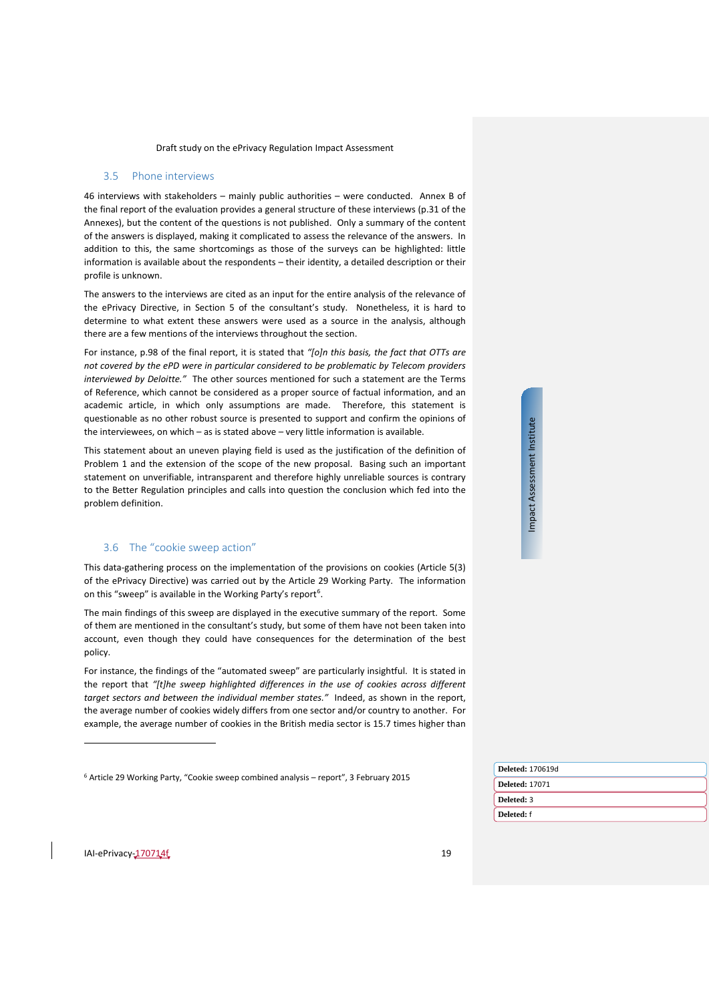#### <span id="page-18-0"></span>3.5 Phone interviews

46 interviews with stakeholders – mainly public authorities – were conducted. Annex B of the final report of the evaluation provides a general structure of these interviews (p.31 of the Annexes), but the content of the questions is not published. Only a summary of the content of the answers is displayed, making it complicated to assess the relevance of the answers. In addition to this, the same shortcomings as those of the surveys can be highlighted: little information is available about the respondents – their identity, a detailed description or their profile is unknown.

The answers to the interviews are cited as an input for the entire analysis of the relevance of the ePrivacy Directive, in Section 5 of the consultant's study. Nonetheless, it is hard to determine to what extent these answers were used as a source in the analysis, although there are a few mentions of the interviews throughout the section.

For instance, p.98 of the final report, it is stated that *"[o]n this basis, the fact that OTTs are not covered by the ePD were in particular considered to be problematic by Telecom providers interviewed by Deloitte."* The other sources mentioned for such a statement are the Terms of Reference, which cannot be considered as a proper source of factual information, and an academic article, in which only assumptions are made. Therefore, this statement is questionable as no other robust source is presented to support and confirm the opinions of the interviewees, on which – as is stated above – very little information is available.

This statement about an uneven playing field is used as the justification of the definition of Problem 1 and the extension of the scope of the new proposal. Basing such an important statement on unverifiable, intransparent and therefore highly unreliable sources is contrary to the Better Regulation principles and calls into question the conclusion which fed into the problem definition.

# <span id="page-18-1"></span>3.6 The "cookie sweep action"

This data-gathering process on the implementation of the provisions on cookies (Article 5(3) of the ePrivacy Directive) was carried out by the Article 29 Working Party. The information on this "sweep" is available in the Working Party's report<sup>6</sup>.

The main findings of this sweep are displayed in the executive summary of the report. Some of them are mentioned in the consultant's study, but some of them have not been taken into account, even though they could have consequences for the determination of the best policy.

For instance, the findings of the "automated sweep" are particularly insightful. It is stated in the report that *"[t]he sweep highlighted differences in the use of cookies across different target sectors and between the individual member states."* Indeed, as shown in the report, the average number of cookies widely differs from one sector and/or country to another. For example, the average number of cookies in the British media sector is 15.7 times higher than Impact Assessment Institute Impact Assessment Institute

|  | <b>Deleted: 170619d</b> |
|--|-------------------------|
|  | <b>Deleted: 17071</b>   |
|  | Deleted: 3              |
|  | Deleted: f              |
|  |                         |

<span id="page-18-2"></span>IAI-ePrivacy-170714f 19

<sup>6</sup> [Article 29 Working Party, "Cookie sweep combined analysis –](http://ec.europa.eu/justice/data-protection/article-29/documentation/opinion-recommendation/files/2015/wp229_en.pdf) report", 3 February 2015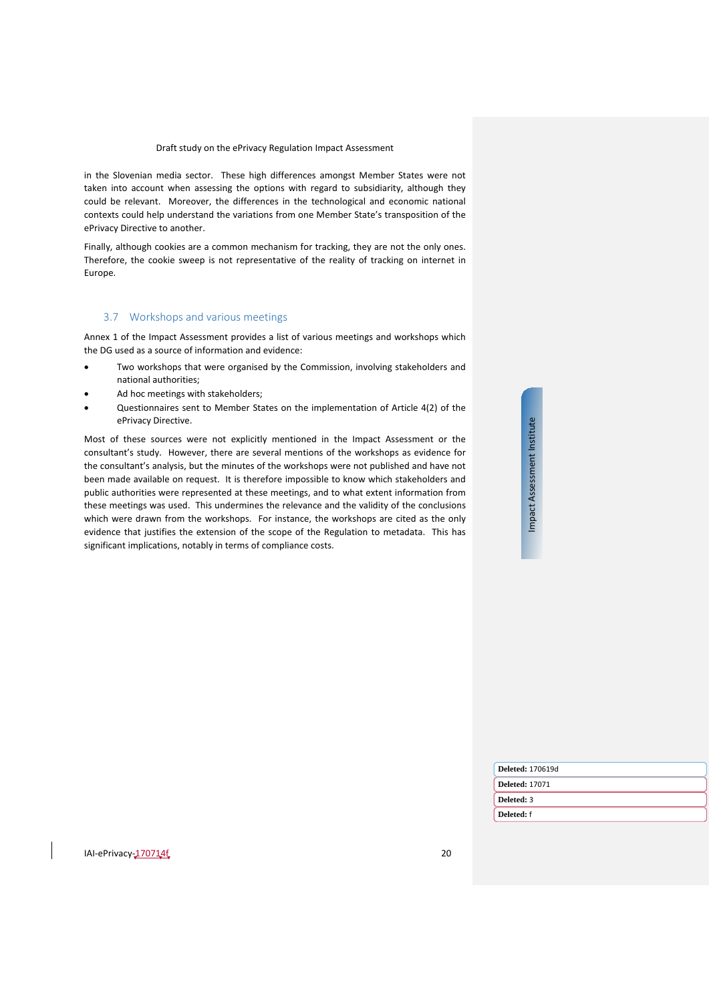in the Slovenian media sector. These high differences amongst Member States were not taken into account when assessing the options with regard to subsidiarity, although they could be relevant. Moreover, the differences in the technological and economic national contexts could help understand the variations from one Member State's transposition of the ePrivacy Directive to another.

Finally, although cookies are a common mechanism for tracking, they are not the only ones. Therefore, the cookie sweep is not representative of the reality of tracking on internet in Europe.

### <span id="page-19-0"></span>3.7 Workshops and various meetings

Annex 1 of the Impact Assessment provides a list of various meetings and workshops which the DG used as a source of information and evidence:

- Two workshops that were organised by the Commission, involving stakeholders and national authorities;
- Ad hoc meetings with stakeholders;
- Questionnaires sent to Member States on the implementation of Article 4(2) of the ePrivacy Directive.

Most of these sources were not explicitly mentioned in the Impact Assessment or the consultant's study. However, there are several mentions of the workshops as evidence for the consultant's analysis, but the minutes of the workshops were not published and have not been made available on request. It is therefore impossible to know which stakeholders and public authorities were represented at these meetings, and to what extent information from these meetings was used. This undermines the relevance and the validity of the conclusions which were drawn from the workshops. For instance, the workshops are cited as the only evidence that justifies the extension of the scope of the Regulation to metadata. This has significant implications, notably in terms of compliance costs.

| <b>Institu</b> |  |
|----------------|--|
|                |  |
|                |  |
|                |  |
|                |  |
|                |  |
|                |  |
|                |  |
|                |  |
|                |  |
|                |  |
| Assessment     |  |
|                |  |
|                |  |
|                |  |
|                |  |
|                |  |
|                |  |
|                |  |
|                |  |
| mpact          |  |
|                |  |
|                |  |

| <b>Deleted: 170619d</b> |
|-------------------------|
| <b>Deleted: 17071</b>   |
| Deleted: 3              |
| Deleted: f              |
|                         |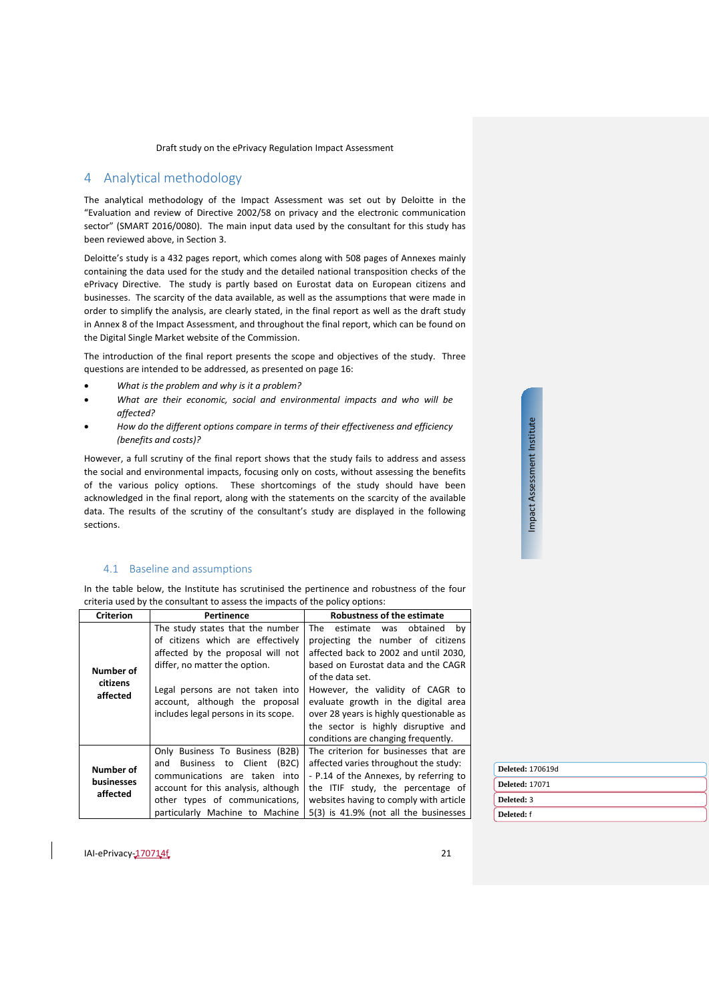# <span id="page-20-0"></span>4 Analytical methodology

The analytical methodology of the Impact Assessment was set out by Deloitte in the "Evaluation and review of Directive 2002/58 on privacy and the electronic communication sector" (SMART 2016/0080). The main input data used by the consultant for this study has been reviewed above, in Section [3.](#page-14-0)

Deloitte's study is a 432 pages report, which comes along with 508 pages of Annexes mainly containing the data used for the study and the detailed national transposition checks of the ePrivacy Directive. The study is partly based on Eurostat data on European citizens and businesses. The scarcity of the data available, as well as the assumptions that were made in order to simplify the analysis, are clearly stated, in the final report as well as the draft study in Annex 8 of the Impact Assessment, and throughout the final report, which can be found on the Digital Single Market website of the Commission.

The introduction of the final report presents the scope and objectives of the study. Three questions are intended to be addressed, as presented on page 16:

- *What is the problem and why is it a problem?*
- *What are their economic, social and environmental impacts and who will be affected?*
- *How do the different options compare in terms of their effectiveness and efficiency (benefits and costs)?*

However, a full scrutiny of the final report shows that the study fails to address and assess the social and environmental impacts, focusing only on costs, without assessing the benefits of the various policy options. These shortcomings of the study should have been acknowledged in the final report, along with the statements on the scarcity of the available data. The results of the scrutiny of the consultant's study are displayed in the following sections.

# <span id="page-20-1"></span>4.1 Baseline and assumptions

In the table below, the Institute has scrutinised the pertinence and robustness of the four criteria used by the consultant to assess the impacts of the policy options:

| <b>Criterion</b>                    | Pertinence                                                                                                                                                                                                                                                | Robustness of the estimate                                                                                                                                                                                                                                                                                                                                                      |  |  |  |
|-------------------------------------|-----------------------------------------------------------------------------------------------------------------------------------------------------------------------------------------------------------------------------------------------------------|---------------------------------------------------------------------------------------------------------------------------------------------------------------------------------------------------------------------------------------------------------------------------------------------------------------------------------------------------------------------------------|--|--|--|
| Number of<br>citizens<br>affected   | The study states that the number<br>of citizens which are effectively<br>affected by the proposal will not<br>differ, no matter the option.<br>Legal persons are not taken into<br>account, although the proposal<br>includes legal persons in its scope. | The<br>estimate was obtained<br>bv<br>projecting the number of citizens<br>affected back to 2002 and until 2030.<br>based on Eurostat data and the CAGR<br>of the data set.<br>However, the validity of CAGR to<br>evaluate growth in the digital area<br>over 28 years is highly questionable as<br>the sector is highly disruptive and<br>conditions are changing frequently. |  |  |  |
| Number of<br>businesses<br>affected | Only Business To Business (B2B)<br>Business to Client<br>(B2C)<br>and<br>communications are taken into<br>account for this analysis, although<br>other types of communications,<br>particularly Machine to Machine                                        | The criterion for businesses that are<br>affected varies throughout the study:<br>- P.14 of the Annexes, by referring to<br>the ITIF study, the percentage of<br>websites having to comply with article<br>5(3) is 41.9% (not all the businesses                                                                                                                                |  |  |  |

**Deleted:** 170619d **Deleted:** 17071 **Deleted:** 3 **Deleted:** f

Impact Assessment Institute

Impact Assessment Institute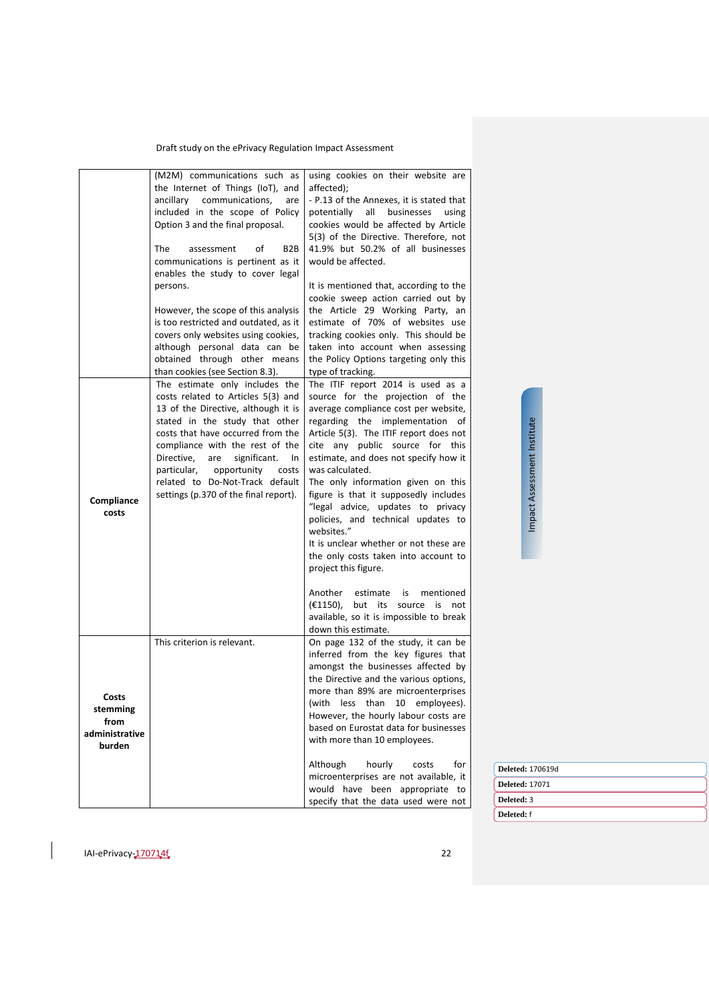|                                                       | (M2M) communications such as<br>the Internet of Things (IoT), and<br>ancillary communications,<br>are<br>included in the scope of Policy<br>Option 3 and the final proposal.<br>The<br>of<br>B <sub>2</sub> B<br>assessment<br>communications is pertinent as it<br>enables the study to cover legal<br>persons.<br>However, the scope of this analysis<br>is too restricted and outdated, as it<br>covers only websites using cookies, | using cookies on their website are<br>affected);<br>- P.13 of the Annexes, it is stated that<br>potentially all businesses<br>using<br>cookies would be affected by Article<br>5(3) of the Directive. Therefore, not<br>41.9% but 50.2% of all businesses<br>would be affected.<br>It is mentioned that, according to the<br>cookie sweep action carried out by<br>the Article 29 Working Party, an<br>estimate of 70% of websites use<br>tracking cookies only. This should be                                                                                                                                                                                                                                   |
|-------------------------------------------------------|-----------------------------------------------------------------------------------------------------------------------------------------------------------------------------------------------------------------------------------------------------------------------------------------------------------------------------------------------------------------------------------------------------------------------------------------|-------------------------------------------------------------------------------------------------------------------------------------------------------------------------------------------------------------------------------------------------------------------------------------------------------------------------------------------------------------------------------------------------------------------------------------------------------------------------------------------------------------------------------------------------------------------------------------------------------------------------------------------------------------------------------------------------------------------|
|                                                       | although personal data can be<br>obtained through other means<br>than cookies (see Section 8.3).                                                                                                                                                                                                                                                                                                                                        | taken into account when assessing<br>the Policy Options targeting only this<br>type of tracking.                                                                                                                                                                                                                                                                                                                                                                                                                                                                                                                                                                                                                  |
| Compliance<br>costs                                   | The estimate only includes the<br>costs related to Articles 5(3) and<br>13 of the Directive, although it is<br>stated in the study that other<br>costs that have occurred from the<br>compliance with the rest of the<br>Directive.<br>significant.<br>are<br>In<br>particular,<br>opportunity<br>costs<br>related to Do-Not-Track default<br>settings (p.370 of the final report).                                                     | The ITIF report 2014 is used as a<br>source for the projection of the<br>average compliance cost per website,<br>regarding the implementation of<br>Article 5(3). The ITIF report does not<br>cite any public source for this<br>estimate, and does not specify how it<br>was calculated.<br>The only information given on this<br>figure is that it supposedly includes<br>"legal advice, updates to privacy<br>policies, and technical updates to<br>websites."<br>It is unclear whether or not these are<br>the only costs taken into account to<br>project this figure.<br>Another<br>estimate<br>is<br>mentioned<br>$(E1150)$ ,<br>but its<br>source<br>is<br>not<br>available, so it is impossible to break |
| Costs<br>stemming<br>from<br>administrative<br>burden | This criterion is relevant.                                                                                                                                                                                                                                                                                                                                                                                                             | down this estimate.<br>On page 132 of the study, it can be<br>inferred from the key figures that<br>amongst the businesses affected by<br>the Directive and the various options,<br>more than 89% are microenterprises<br>less than<br>(with<br>10 employees).<br>However, the hourly labour costs are<br>based on Eurostat data for businesses<br>with more than 10 employees.<br>Although<br>hourly<br>for<br>costs<br>microenterprises are not available, it<br>would have been appropriate to<br>specify that the data used were not                                                                                                                                                                          |

Impact Assessment Institute Impact Assessment Institute

**Deleted:** 170619d **Deleted:** 17071 **Deleted:** 3 **Deleted:** f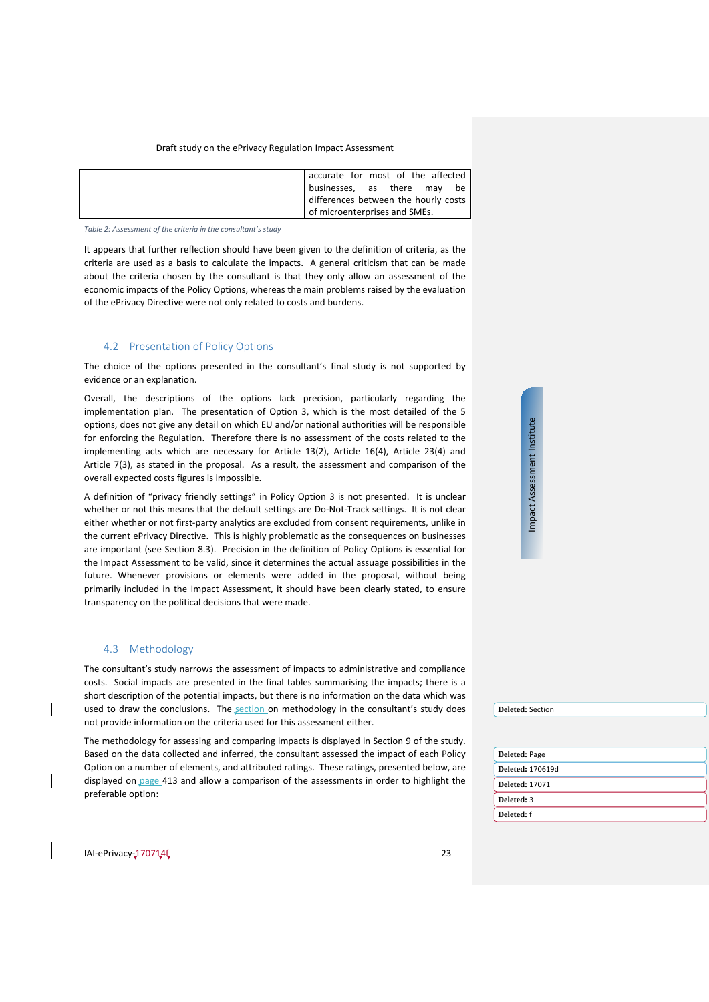| accurate for most of the affected    |
|--------------------------------------|
| businesses, as there may be          |
| differences between the hourly costs |
| of microenterprises and SMEs.        |

*Table 2: Assessment of the criteria in the consultant's study*

It appears that further reflection should have been given to the definition of criteria, as the criteria are used as a basis to calculate the impacts. A general criticism that can be made about the criteria chosen by the consultant is that they only allow an assessment of the economic impacts of the Policy Options, whereas the main problems raised by the evaluation of the ePrivacy Directive were not only related to costs and burdens.

# <span id="page-22-0"></span>4.2 Presentation of Policy Options

The choice of the options presented in the consultant's final study is not supported by evidence or an explanation.

Overall, the descriptions of the options lack precision, particularly regarding the implementation plan. The presentation of Option 3, which is the most detailed of the 5 options, does not give any detail on which EU and/or national authorities will be responsible for enforcing the Regulation. Therefore there is no assessment of the costs related to the implementing acts which are necessary for Article 13(2), Article 16(4), Article 23(4) and Article 7(3), as stated in the proposal. As a result, the assessment and comparison of the overall expected costs figures is impossible.

A definition of "privacy friendly settings" in Policy Option 3 is not presented. It is unclear whether or not this means that the default settings are Do-Not-Track settings. It is not clear either whether or not first-party analytics are excluded from consent requirements, unlike in the current ePrivacy Directive. This is highly problematic as the consequences on businesses are important (see Section [8.3\)](#page-42-0). Precision in the definition of Policy Options is essential for the Impact Assessment to be valid, since it determines the actual assuage possibilities in the future. Whenever provisions or elements were added in the proposal, without being primarily included in the Impact Assessment, it should have been clearly stated, to ensure transparency on the political decisions that were made.

#### <span id="page-22-1"></span>4.3 Methodology

The consultant's study narrows the assessment of impacts to administrative and compliance costs. Social impacts are presented in the final tables summarising the impacts; there is a short description of the potential impacts, but there is no information on the data which was used to draw the conclusions. The section on methodology in the consultant's study does not provide information on the criteria used for this assessment either.

The methodology for assessing and comparing impacts is displayed in Section 9 of the study. Based on the data collected and inferred, the consultant assessed the impact of each Policy Option on a number of elements, and attributed ratings. These ratings, presented below, are displayed on page 413 and allow a comparison of the assessments in order to highlight the preferable option:



| <b>Deleted: 17071</b> |  |
|-----------------------|--|
| Deleted: 3            |  |
| Deleted: f            |  |

**Deleted:** Section

IAI-ePrivacy-170714f 23

Impact Assessment Institute

Impact Assessment Institute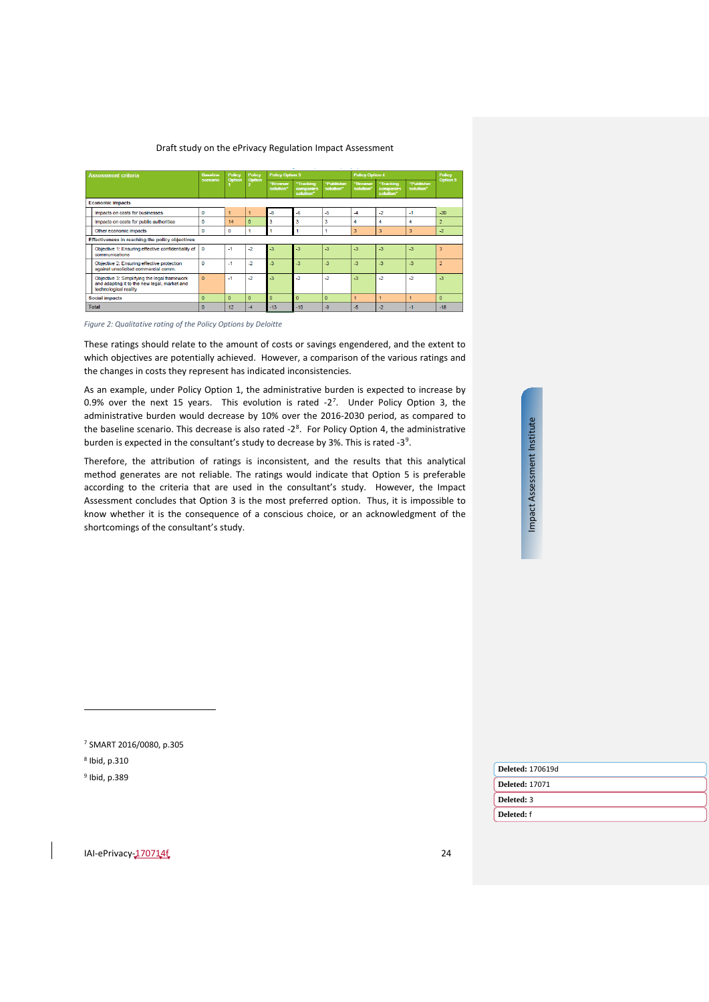| <b>Assessment criteria</b>                                                                                            | <b>Baseline</b> | <b>Policy</b> | Policy       | <b>Policy Option 3</b>  |                                     |                         | <b>Policy Option 4</b>   |                                     |                         | Policy        |
|-----------------------------------------------------------------------------------------------------------------------|-----------------|---------------|--------------|-------------------------|-------------------------------------|-------------------------|--------------------------|-------------------------------------|-------------------------|---------------|
|                                                                                                                       | scenario        | <b>Option</b> | Option       | "Browser<br>solution"   | "Tracking<br>companies<br>solution" | "Publisher<br>solution" | "Browser<br>solution"    | "Tracking<br>companies<br>solution" | "Publisher<br>solution" | Option 5      |
| <b>Economic impacts</b>                                                                                               |                 |               |              |                         |                                     |                         |                          |                                     |                         |               |
| Impacts on costs for businesses                                                                                       | n               |               |              | $\overline{\mathbf{a}}$ | -6                                  | -5                      | $\overline{\mathcal{A}}$ | $-2$                                | $-1$                    | $-20$         |
| Impacts on costs for public authorities                                                                               | $\Omega$        | 14            | $\Omega$     | 3                       | 3                                   | 3                       | 4                        | 4                                   | 4                       |               |
| Other economic impacts                                                                                                | $\mathbf{0}$    | O             |              |                         |                                     |                         | 3                        | $\overline{3}$                      | 3                       | $-2$          |
| Effectiveness in reaching the policy objectives                                                                       |                 |               |              |                         |                                     |                         |                          |                                     |                         |               |
| Objective 1: Ensuring effective confidentiality of<br>communications                                                  | $\mathbf{O}$    | $-1$          | $\mathbf{r}$ | $\mathbf{.}3$           | $-3$                                | $-3$                    | $\overline{3}$           | $\overline{a}$                      | $-3$                    | 3             |
| Objective 2: Ensuring effective protection<br>against unsolicited commercial comm.                                    | $\Omega$        | $-1$          | -2           | -3                      | $\mathbf{3}$                        | $-3$                    | -3                       | $-3$                                | $-3$                    | $\mathcal{P}$ |
| Objective 3: Simplifying the legal framework<br>and adapting it to the new legal, market and<br>technological reality | $\mathbf{0}$    | $-1$          | $-2$         | $-3$                    | $-2$                                | $-2$                    | $\overline{3}$           | $-2$                                | $-2$                    | $-3$          |
| <b>Social impacts</b>                                                                                                 | $\Omega$        | $\Omega$      | $\Omega$     | $\mathbf{0}$            | $\Omega$                            | $\Omega$                |                          |                                     |                         | $\mathbf{0}$  |
| <b>Total</b>                                                                                                          | $\Omega$        | 12            |              | $-13$                   | $-10$                               | -9                      | -5                       | -2                                  | $-1$                    | $-18$         |

*Figure 2: Qualitative rating of the Policy Options by Deloitte*

These ratings should relate to the amount of costs or savings engendered, and the extent to which objectives are potentially achieved. However, a comparison of the various ratings and the changes in costs they represent has indicated inconsistencies.

As an example, under Policy Option 1, the administrative burden is expected to increase by 0.9% over the next 15 years. This evolution is rated  $-2^7$ . Under Policy Option 3, the administrative burden would decrease by 10% over the 2016-2030 period, as compared to the baseline scenario. This decrease is also rated  $-2<sup>8</sup>$  $-2<sup>8</sup>$  $-2<sup>8</sup>$ . For Policy Option 4, the administrative burden is expected in the consultant's study to decrease by 3%. This is rated -3<sup>[9](#page-23-2)</sup>.

Therefore, the attribution of ratings is inconsistent, and the results that this analytical method generates are not reliable. The ratings would indicate that Option 5 is preferable according to the criteria that are used in the consultant's study. However, the Impact Assessment concludes that Option 3 is the most preferred option. Thus, it is impossible to know whether it is the consequence of a conscious choice, or an acknowledgment of the shortcomings of the consultant's study.

| nstitu |
|--------|
|        |
|        |
|        |
|        |
|        |
|        |
| smer   |
|        |
|        |
| ssess  |
|        |
|        |
|        |
|        |
|        |
|        |
| npac   |
|        |
|        |
|        |
|        |
|        |

ute

<sup>7</sup> SMART 2016/0080, p.305

<sup>8</sup> Ibid, p.310

 $\overline{a}$ 

<span id="page-23-2"></span><span id="page-23-1"></span><span id="page-23-0"></span><sup>9</sup> Ibid, p.389

| <b>Deleted: 170619d</b> |
|-------------------------|
| <b>Deleted: 17071</b>   |
| Deleted: 3              |
| Deleted: f              |
|                         |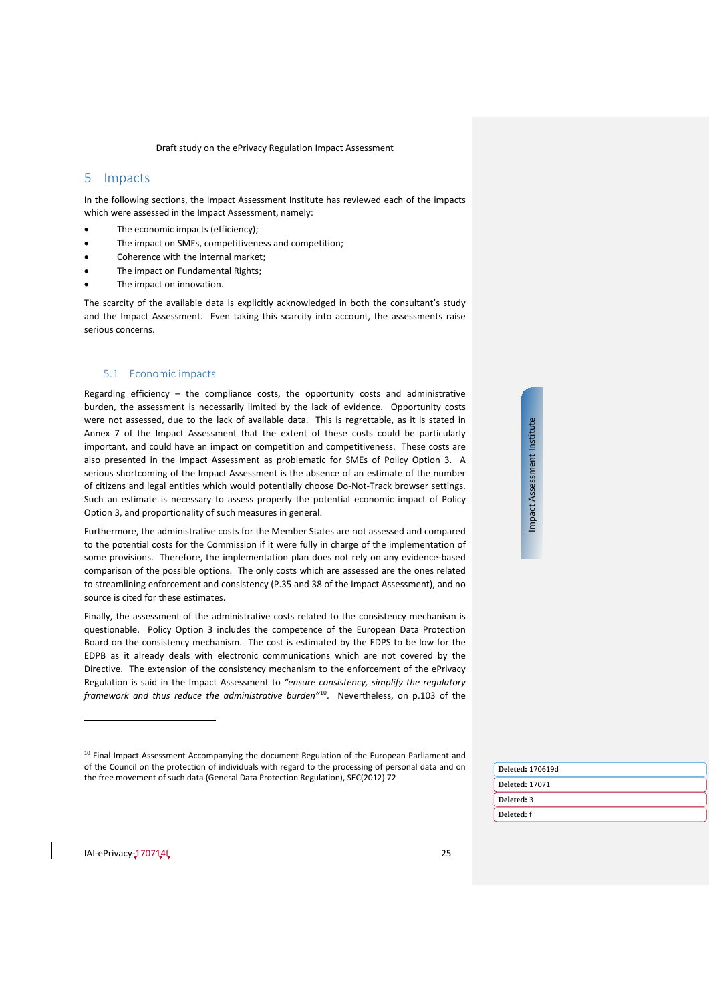# <span id="page-24-0"></span>5 Impacts

In the following sections, the Impact Assessment Institute has reviewed each of the impacts which were assessed in the Impact Assessment, namely:

- The economic impacts (efficiency);
- The impact on SMEs, competitiveness and competition:
- Coherence with the internal market;
- The impact on Fundamental Rights;
- The impact on innovation.

The scarcity of the available data is explicitly acknowledged in both the consultant's study and the Impact Assessment. Even taking this scarcity into account, the assessments raise serious concerns.

#### <span id="page-24-1"></span>5.1 Economic impacts

Regarding efficiency – the compliance costs, the opportunity costs and administrative burden, the assessment is necessarily limited by the lack of evidence. Opportunity costs were not assessed, due to the lack of available data. This is regrettable, as it is stated in Annex 7 of the Impact Assessment that the extent of these costs could be particularly important, and could have an impact on competition and competitiveness. These costs are also presented in the Impact Assessment as problematic for SMEs of Policy Option 3. A serious shortcoming of the Impact Assessment is the absence of an estimate of the number of citizens and legal entities which would potentially choose Do-Not-Track browser settings. Such an estimate is necessary to assess properly the potential economic impact of Policy Option 3, and proportionality of such measures in general.

Furthermore, the administrative costs for the Member States are not assessed and compared to the potential costs for the Commission if it were fully in charge of the implementation of some provisions. Therefore, the implementation plan does not rely on any evidence-based comparison of the possible options. The only costs which are assessed are the ones related to streamlining enforcement and consistency (P.35 and 38 of the Impact Assessment), and no source is cited for these estimates.

Finally, the assessment of the administrative costs related to the consistency mechanism is questionable. Policy Option 3 includes the competence of the European Data Protection Board on the consistency mechanism. The cost is estimated by the EDPS to be low for the EDPB as it already deals with electronic communications which are not covered by the Directive. The extension of the consistency mechanism to the enforcement of the ePrivacy Regulation is said in the Impact Assessment to *"ensure consistency, simplify the regulatory framework and thus reduce the administrative burden"*[10](#page-24-2). Nevertheless, on p.103 of the

| ieľ, |
|------|
|      |
| į    |
|      |
|      |
| SSPS |
|      |
|      |
|      |
|      |
|      |
| ì    |
| š    |
| -    |
|      |
|      |
|      |

| <b>Deleted: 170619d</b> |
|-------------------------|
| <b>Deleted: 17071</b>   |
| Deleted: 3              |
| Deleted: f              |
|                         |

<span id="page-24-2"></span><sup>&</sup>lt;sup>10</sup> Final Impact Assessment Accompanying the document Regulation of the European Parliament and of the Council on the protection of individuals with regard to the processing of personal data and on the free movement of such data (General Data Protection Regulation), SEC(2012) 72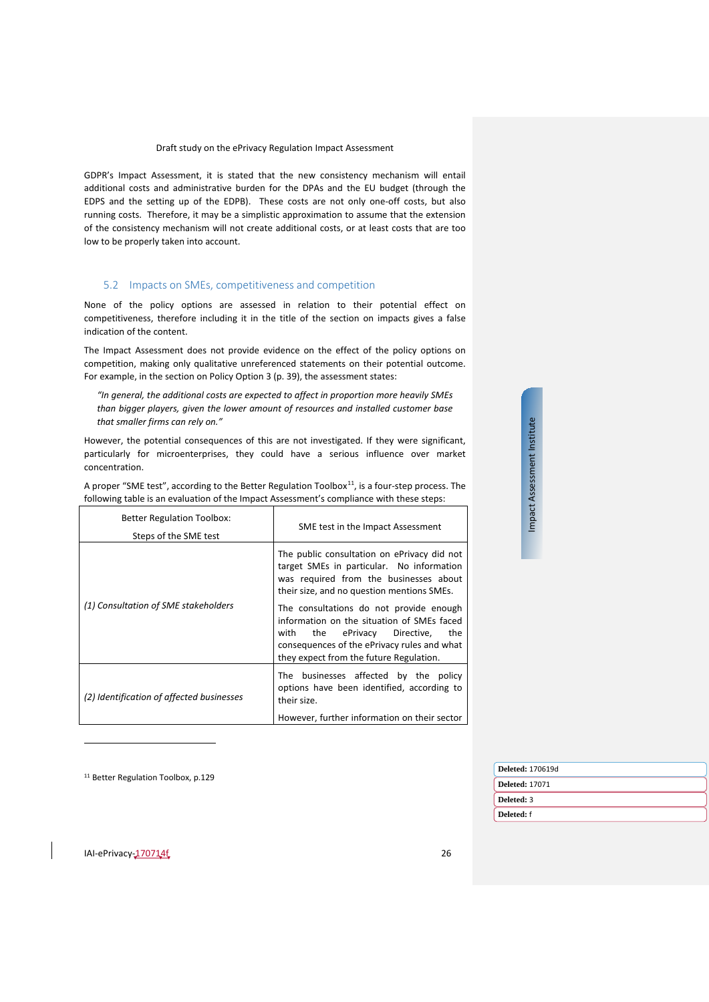GDPR's Impact Assessment, it is stated that the new consistency mechanism will entail additional costs and administrative burden for the DPAs and the EU budget (through the EDPS and the setting up of the EDPB). These costs are not only one-off costs, but also running costs. Therefore, it may be a simplistic approximation to assume that the extension of the consistency mechanism will not create additional costs, or at least costs that are too low to be properly taken into account.

# <span id="page-25-0"></span>5.2 Impacts on SMEs, competitiveness and competition

None of the policy options are assessed in relation to their potential effect on competitiveness, therefore including it in the title of the section on impacts gives a false indication of the content.

The Impact Assessment does not provide evidence on the effect of the policy options on competition, making only qualitative unreferenced statements on their potential outcome. For example, in the section on Policy Option 3 (p. 39), the assessment states:

*"In general, the additional costs are expected to affect in proportion more heavily SMEs than bigger players, given the lower amount of resources and installed customer base that smaller firms can rely on."*

However, the potential consequences of this are not investigated. If they were significant, particularly for microenterprises, they could have a serious influence over market concentration.

A proper "SME test", according to the Better Regulation Toolbox $^{11}$ , is a four-step process. The following table is an evaluation of the Impact Assessment's compliance with these steps:

| <b>Better Regulation Toolbox:</b>         | SME test in the Impact Assessment                                                                                                                                                                                                                                                                                                                                  |  |
|-------------------------------------------|--------------------------------------------------------------------------------------------------------------------------------------------------------------------------------------------------------------------------------------------------------------------------------------------------------------------------------------------------------------------|--|
| Steps of the SME test                     |                                                                                                                                                                                                                                                                                                                                                                    |  |
| (1) Consultation of SME stakeholders      | The public consultation on ePrivacy did not<br>target SMEs in particular. No information<br>was required from the businesses about<br>their size, and no question mentions SMEs.<br>The consultations do not provide enough<br>information on the situation of SMEs faced<br>the ePrivacy Directive,<br>with<br>the<br>consequences of the ePrivacy rules and what |  |
|                                           | they expect from the future Regulation.                                                                                                                                                                                                                                                                                                                            |  |
| (2) Identification of affected businesses | The businesses affected by the policy<br>options have been identified, according to<br>their size.                                                                                                                                                                                                                                                                 |  |
|                                           | However, further information on their sector                                                                                                                                                                                                                                                                                                                       |  |

<sup>11</sup> Better Regulation Toolbox, p.129

| <b>Deleted: 170619d</b> |
|-------------------------|
| <b>Deleted: 17071</b>   |
| Deleted: 3              |
| Deleted: f              |
|                         |

Impact Assessment Institute

Impact Assessment Institute

<span id="page-25-1"></span>IAI-ePrivacy-170714f 26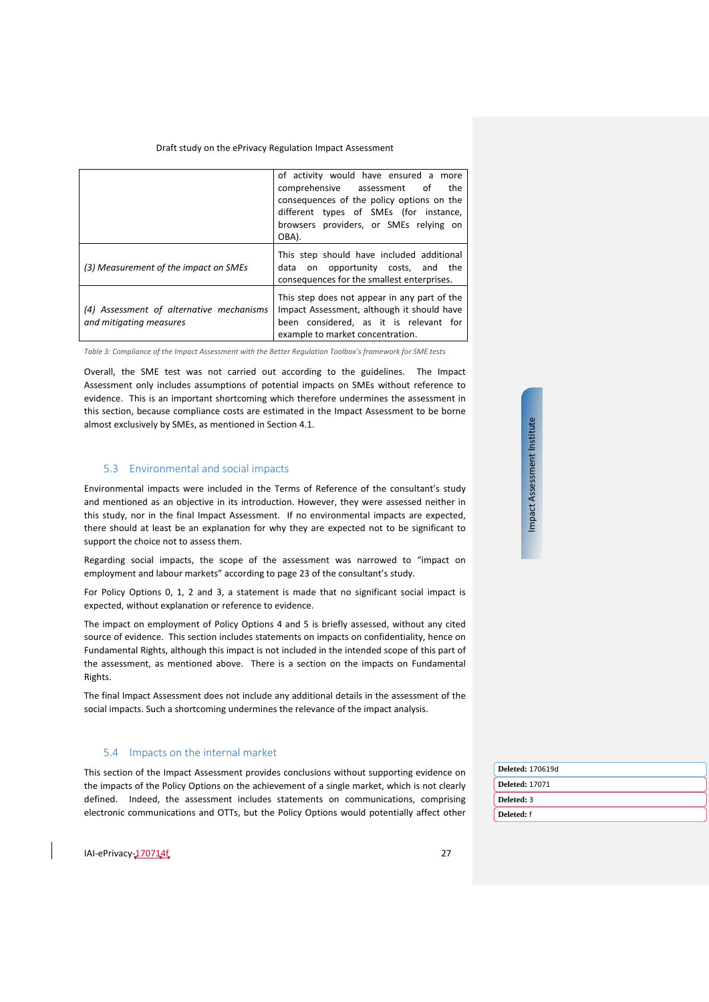|                                                                     | of activity would have ensured a more<br>comprehensive assessment of<br>the<br>consequences of the policy options on the<br>different types of SMEs (for instance,<br>browsers providers, or SMEs relying on<br>OBA). |
|---------------------------------------------------------------------|-----------------------------------------------------------------------------------------------------------------------------------------------------------------------------------------------------------------------|
| (3) Measurement of the impact on SMEs                               | This step should have included additional<br>data on opportunity costs, and the<br>consequences for the smallest enterprises.                                                                                         |
| (4) Assessment of alternative mechanisms<br>and mitigating measures | This step does not appear in any part of the<br>Impact Assessment, although it should have<br>been considered, as it is relevant for<br>example to market concentration.                                              |

*Table 3: Compliance of the Impact Assessment with the Better Regulation Toolbox's framework for SME tests*

Overall, the SME test was not carried out according to the guidelines. The Impact Assessment only includes assumptions of potential impacts on SMEs without reference to evidence. This is an important shortcoming which therefore undermines the assessment in this section, because compliance costs are estimated in the Impact Assessment to be borne almost exclusively by SMEs, as mentioned in Section [4.1.](#page-20-1)

# <span id="page-26-0"></span>5.3 Environmental and social impacts

Environmental impacts were included in the Terms of Reference of the consultant's study and mentioned as an objective in its introduction. However, they were assessed neither in this study, nor in the final Impact Assessment. If no environmental impacts are expected, there should at least be an explanation for why they are expected not to be significant to support the choice not to assess them.

Regarding social impacts, the scope of the assessment was narrowed to "impact on employment and labour markets" according to page 23 of the consultant's study.

For Policy Options 0, 1, 2 and 3, a statement is made that no significant social impact is expected, without explanation or reference to evidence.

The impact on employment of Policy Options 4 and 5 is briefly assessed, without any cited source of evidence. This section includes statements on impacts on confidentiality, hence on Fundamental Rights, although this impact is not included in the intended scope of this part of the assessment, as mentioned above. There is a section on the impacts on Fundamental Rights.

The final Impact Assessment does not include any additional details in the assessment of the social impacts. Such a shortcoming undermines the relevance of the impact analysis.

#### <span id="page-26-1"></span>5.4 Impacts on the internal market

This section of the Impact Assessment provides conclusions without supporting evidence on the impacts of the Policy Options on the achievement of a single market, which is not clearly defined. Indeed, the assessment includes statements on communications, comprising electronic communications and OTTs, but the Policy Options would potentially affect other

| <b>Deleted: 170619d</b> |
|-------------------------|
| <b>Deleted: 17071</b>   |
| Deleted: 3              |
| Deleted: f              |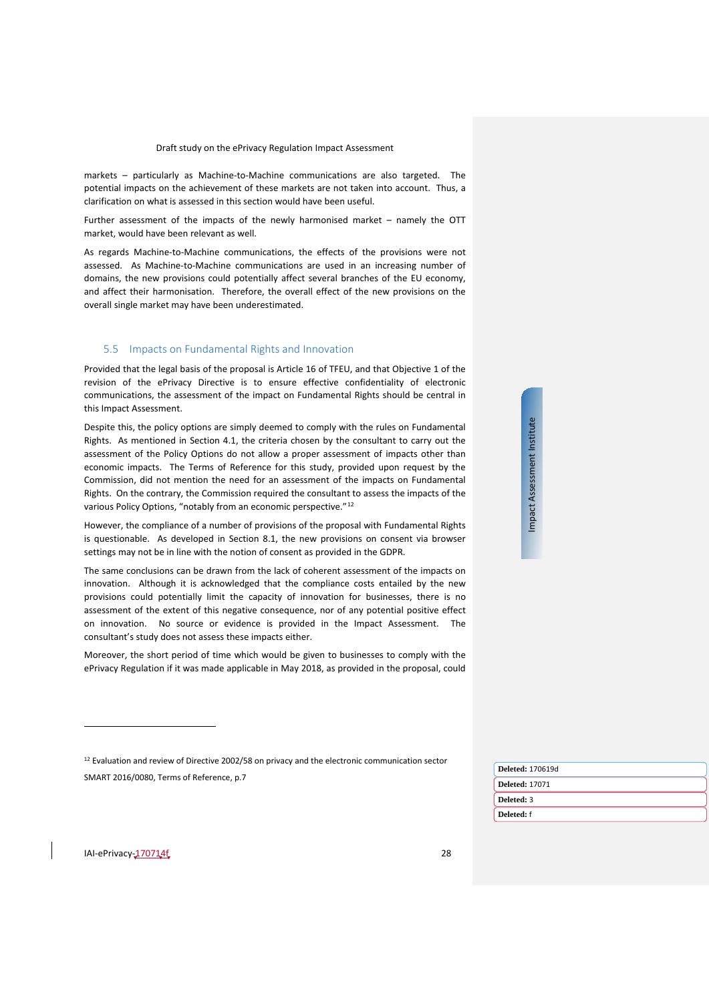markets – particularly as Machine-to-Machine communications are also targeted. The potential impacts on the achievement of these markets are not taken into account. Thus, a clarification on what is assessed in this section would have been useful.

Further assessment of the impacts of the newly harmonised market – namely the OTT market, would have been relevant as well.

As regards Machine-to-Machine communications, the effects of the provisions were not assessed. As Machine-to-Machine communications are used in an increasing number of domains, the new provisions could potentially affect several branches of the EU economy, and affect their harmonisation. Therefore, the overall effect of the new provisions on the overall single market may have been underestimated.

# <span id="page-27-0"></span>5.5 Impacts on Fundamental Rights and Innovation

Provided that the legal basis of the proposal is Article 16 of TFEU, and that Objective 1 of the revision of the ePrivacy Directive is to ensure effective confidentiality of electronic communications, the assessment of the impact on Fundamental Rights should be central in this Impact Assessment.

Despite this, the policy options are simply deemed to comply with the rules on Fundamental Rights. As mentioned in Section [4.1,](#page-20-1) the criteria chosen by the consultant to carry out the assessment of the Policy Options do not allow a proper assessment of impacts other than economic impacts. The Terms of Reference for this study, provided upon request by the Commission, did not mention the need for an assessment of the impacts on Fundamental Rights. On the contrary, the Commission required the consultant to assess the impacts of the various Policy Options, "notably from an economic perspective."[12](#page-27-1)

However, the compliance of a number of provisions of the proposal with Fundamental Rights is questionable. As developed in Section [8.1,](#page-36-1) the new provisions on consent via browser settings may not be in line with the notion of consent as provided in the GDPR.

The same conclusions can be drawn from the lack of coherent assessment of the impacts on innovation. Although it is acknowledged that the compliance costs entailed by the new provisions could potentially limit the capacity of innovation for businesses, there is no assessment of the extent of this negative consequence, nor of any potential positive effect on innovation. No source or evidence is provided in the Impact Assessment. The consultant's study does not assess these impacts either.

Moreover, the short period of time which would be given to businesses to comply with the ePrivacy Regulation if it was made applicable in May 2018, as provided in the proposal, could

<sup>12</sup> Evaluation and review of Directive 2002/58 on privacy and the electronic communication sector SMART 2016/0080, Terms of Reference, p.7

| <b>Deleted: 170619d</b> |  |  |
|-------------------------|--|--|
| <b>Deleted: 17071</b>   |  |  |
| Deleted: 3              |  |  |
| Deleted: f              |  |  |
|                         |  |  |

Impact Assessment Institute

Impact Assessment Institute

<span id="page-27-1"></span>IAI-ePrivacy-170714f 28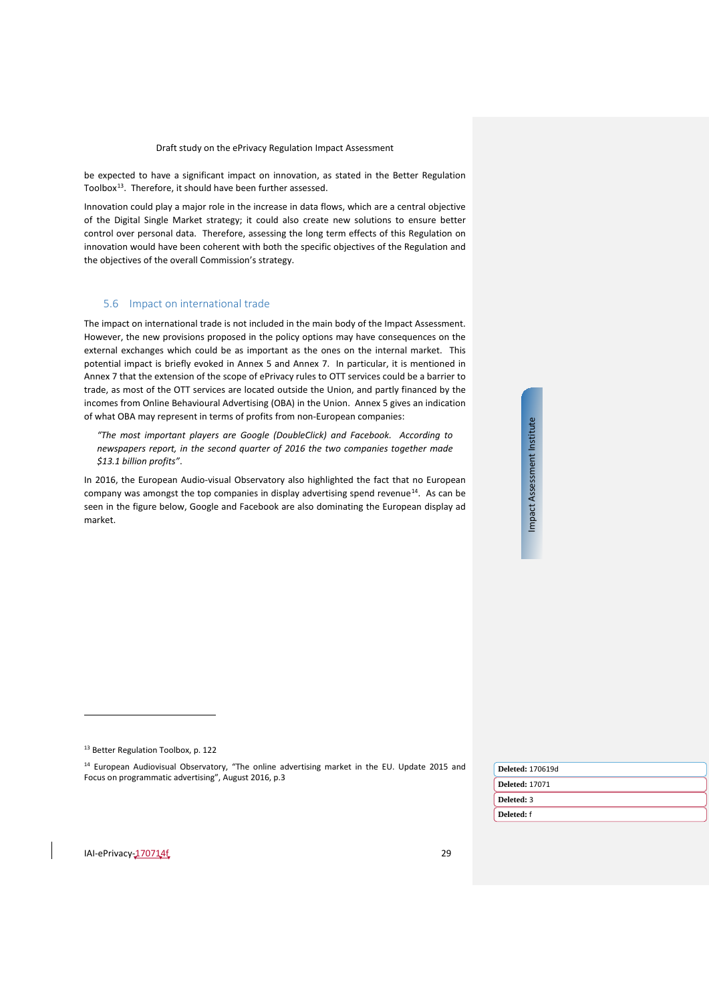be expected to have a significant impact on innovation, as stated in the Better Regulation Toolbox<sup>[13](#page-28-1)</sup>. Therefore, it should have been further assessed.

Innovation could play a major role in the increase in data flows, which are a central objective of the Digital Single Market strategy; it could also create new solutions to ensure better control over personal data. Therefore, assessing the long term effects of this Regulation on innovation would have been coherent with both the specific objectives of the Regulation and the objectives of the overall Commission's strategy.

### <span id="page-28-0"></span>5.6 Impact on international trade

The impact on international trade is not included in the main body of the Impact Assessment. However, the new provisions proposed in the policy options may have consequences on the external exchanges which could be as important as the ones on the internal market. This potential impact is briefly evoked in Annex 5 and Annex 7. In particular, it is mentioned in Annex 7 that the extension of the scope of ePrivacy rules to OTT services could be a barrier to trade, as most of the OTT services are located outside the Union, and partly financed by the incomes from Online Behavioural Advertising (OBA) in the Union. Annex 5 gives an indication of what OBA may represent in terms of profits from non-European companies:

*"The most important players are Google (DoubleClick) and Facebook. According to newspapers report, in the second quarter of 2016 the two companies together made \$13.1 billion profits"*.

In 2016, the European Audio-visual Observatory also highlighted the fact that no European company was amongst the top companies in display advertising spend revenue $^{14}$  $^{14}$  $^{14}$ . As can be seen in the figure below, Google and Facebook are also dominating the European display ad market.

Impact Assessment Institute Impact Assessment Institute

<sup>14</sup> European Audiovisual Observatory, "The online advertising market in the EU. Update 2015 and Focus on programmatic advertising", August 2016, p.3

| <b>Deleted: 170619d</b> |
|-------------------------|
| <b>Deleted: 17071</b>   |
| Deleted: 3              |
| Deleted: f              |
|                         |

<span id="page-28-2"></span><span id="page-28-1"></span>IAI-ePrivacy-170714f 29

<sup>13</sup> Better Regulation Toolbox, p. 122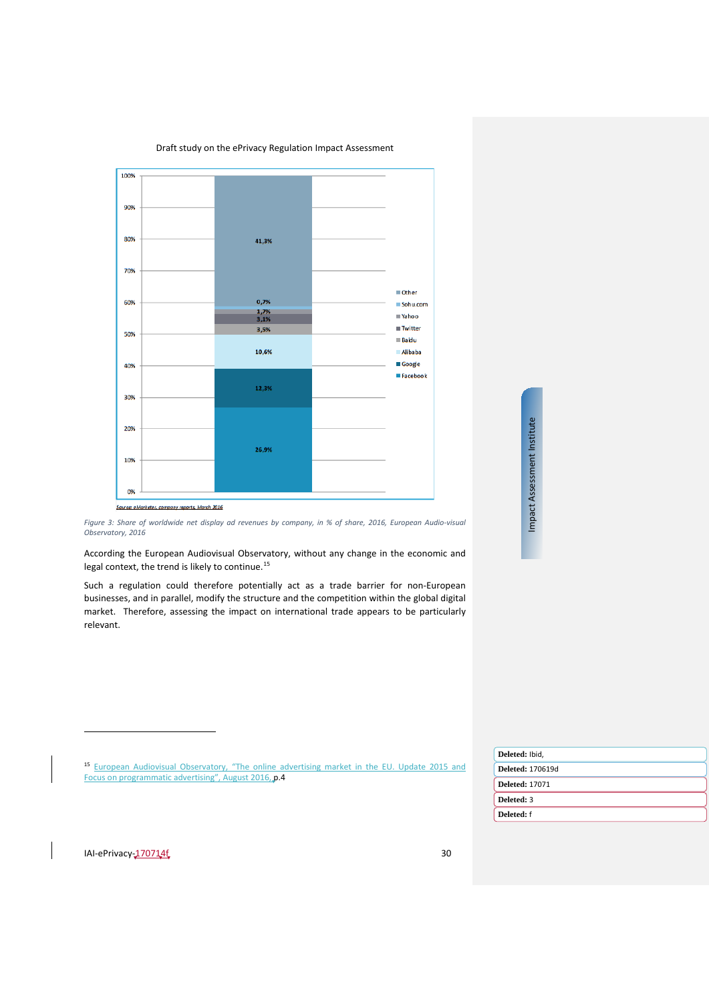

*Figure 3: Share of worldwide net display ad revenues by company, in % of share, 2016, European Audio-visual Observatory, 2016*

According the European Audiovisual Observatory, without any change in the economic and legal context, the trend is likely to continue.<sup>[15](#page-29-0)</sup>

Such a regulation could therefore potentially act as a trade barrier for non-European businesses, and in parallel, modify the structure and the competition within the global digital market. Therefore, assessing the impact on international trade appears to be particularly relevant.

 $\overline{a}$ 

<span id="page-29-0"></span>

|                                                                                                           | Deleted: Ibid,          |
|-----------------------------------------------------------------------------------------------------------|-------------------------|
| <sup>15</sup> European Audiovisual Observatory, "The online advertising market in the EU. Update 2015 and | <b>Deleted: 170619d</b> |
| Focus on programmatic advertising", August 2016, p.4                                                      | <b>Deleted: 17071</b>   |
|                                                                                                           | Deleted: 3              |
|                                                                                                           | Deleted: f              |
|                                                                                                           |                         |
|                                                                                                           |                         |
| IAI-ePrivacy-170714f<br>30                                                                                |                         |
|                                                                                                           |                         |

Impact Assessment Institute

Impact Assessment Institute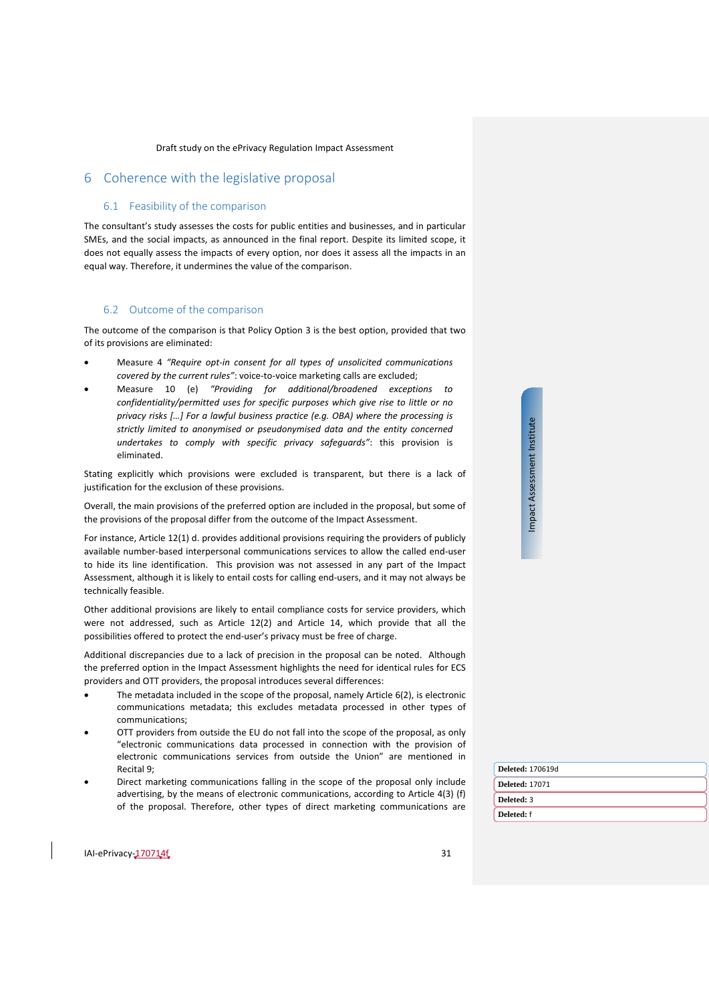# <span id="page-30-1"></span><span id="page-30-0"></span>6 Coherence with the legislative proposal

### 6.1 Feasibility of the comparison

The consultant's study assesses the costs for public entities and businesses, and in particular SMEs, and the social impacts, as announced in the final report. Despite its limited scope, it does not equally assess the impacts of every option, nor does it assess all the impacts in an equal way. Therefore, it undermines the value of the comparison.

# <span id="page-30-2"></span>6.2 Outcome of the comparison

The outcome of the comparison is that Policy Option 3 is the best option, provided that two of its provisions are eliminated:

- Measure 4 *"Require opt-in consent for all types of unsolicited communications covered by the current rules"*: voice-to-voice marketing calls are excluded;
- Measure 10 (e) *"Providing for additional/broadened exceptions to confidentiality/permitted uses for specific purposes which give rise to little or no privacy risks […] For a lawful business practice (e.g. OBA) where the processing is strictly limited to anonymised or pseudonymised data and the entity concerned undertakes to comply with specific privacy safeguards"*: this provision is eliminated.

Stating explicitly which provisions were excluded is transparent, but there is a lack of justification for the exclusion of these provisions.

Overall, the main provisions of the preferred option are included in the proposal, but some of the provisions of the proposal differ from the outcome of the Impact Assessment.

For instance, Article 12(1) d. provides additional provisions requiring the providers of publicly available number-based interpersonal communications services to allow the called end-user to hide its line identification. This provision was not assessed in any part of the Impact Assessment, although it is likely to entail costs for calling end-users, and it may not always be technically feasible.

Other additional provisions are likely to entail compliance costs for service providers, which were not addressed, such as Article 12(2) and Article 14, which provide that all the possibilities offered to protect the end-user's privacy must be free of charge.

Additional discrepancies due to a lack of precision in the proposal can be noted. Although the preferred option in the Impact Assessment highlights the need for identical rules for ECS providers and OTT providers, the proposal introduces several differences:

- The metadata included in the scope of the proposal, namely Article 6(2), is electronic communications metadata; this excludes metadata processed in other types of communications;
- OTT providers from outside the EU do not fall into the scope of the proposal, as only "electronic communications data processed in connection with the provision of electronic communications services from outside the Union" are mentioned in Recital 9;
- Direct marketing communications falling in the scope of the proposal only include advertising, by the means of electronic communications, according to Article 4(3) (f) of the proposal. Therefore, other types of direct marketing communications are

| Deleted: 170619d |
|------------------|
| Deleted: 17071   |
| Deleted: 3       |
| Deleted: f       |
|                  |

Impact Assessment Institute Impact Assessment Institute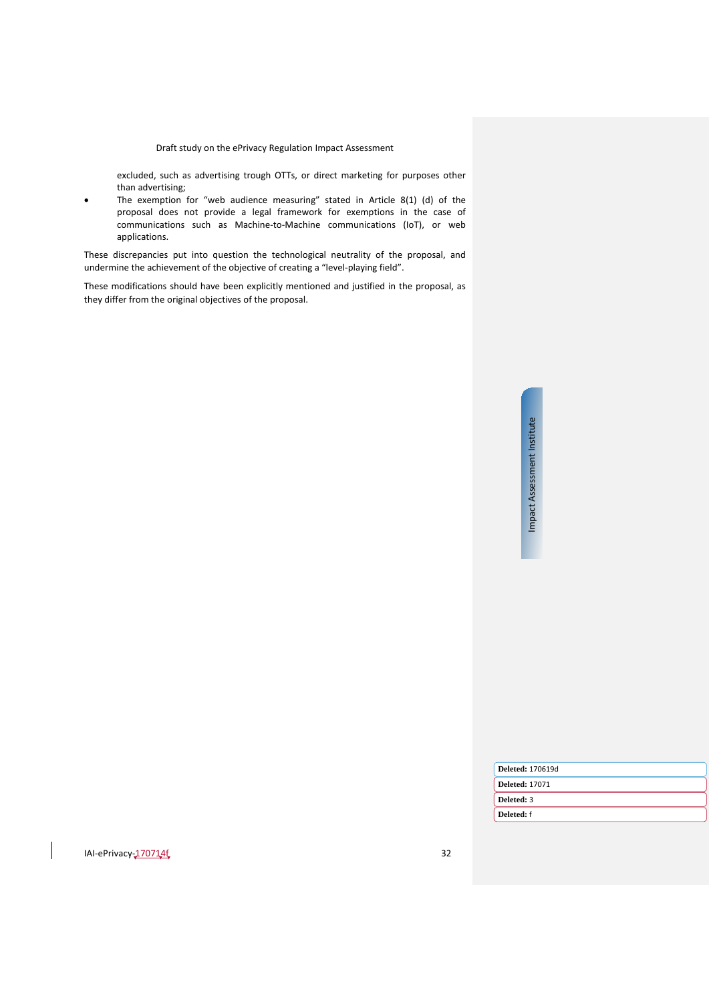excluded, such as advertising trough OTTs, or direct marketing for purposes other than advertising;

The exemption for "web audience measuring" stated in Article 8(1) (d) of the proposal does not provide a legal framework for exemptions in the case of communications such as Machine-to-Machine communications (IoT), or web applications.

These discrepancies put into question the technological neutrality of the proposal, and undermine the achievement of the objective of creating a "level-playing field".

These modifications should have been explicitly mentioned and justified in the proposal, as they differ from the original objectives of the proposal.

> Impact Assessment Institute Impact Assessment Institute

| <b>Deleted: 170619d</b> |
|-------------------------|
| <b>Deleted: 17071</b>   |
| Deleted: 3              |
| Deleted: f              |
|                         |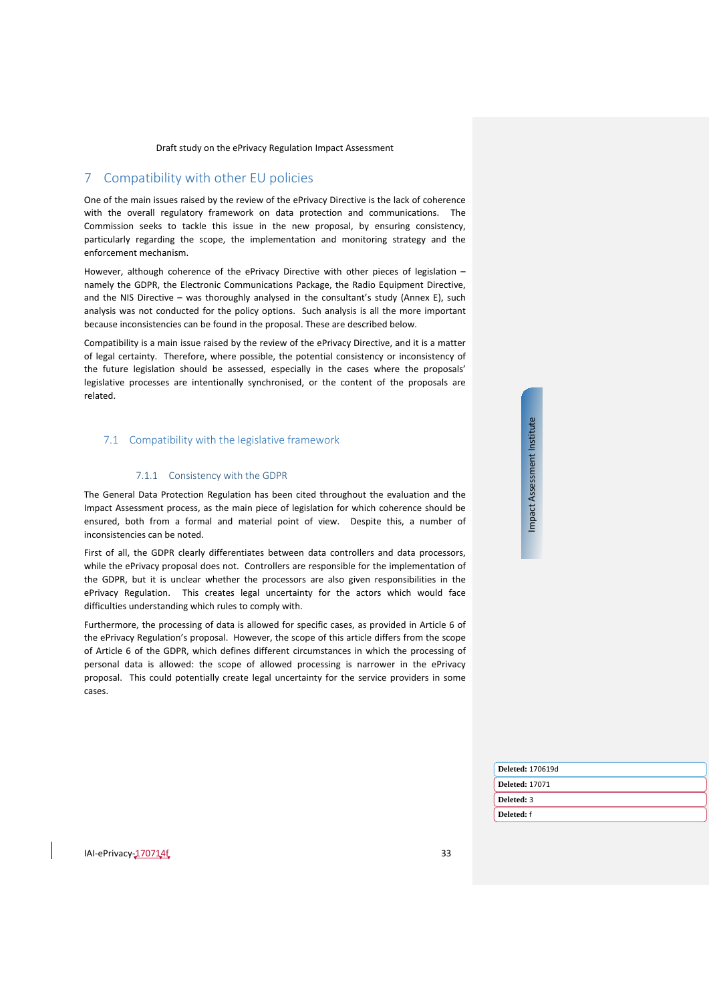# <span id="page-32-0"></span>7 Compatibility with other EU policies

One of the main issues raised by the review of the ePrivacy Directive is the lack of coherence with the overall regulatory framework on data protection and communications. The Commission seeks to tackle this issue in the new proposal, by ensuring consistency, particularly regarding the scope, the implementation and monitoring strategy and the enforcement mechanism.

However, although coherence of the ePrivacy Directive with other pieces of legislation – namely the GDPR, the Electronic Communications Package, the Radio Equipment Directive, and the NIS Directive – was thoroughly analysed in the consultant's study (Annex E), such analysis was not conducted for the policy options. Such analysis is all the more important because inconsistencies can be found in the proposal. These are described below.

Compatibility is a main issue raised by the review of the ePrivacy Directive, and it is a matter of legal certainty. Therefore, where possible, the potential consistency or inconsistency of the future legislation should be assessed, especially in the cases where the proposals' legislative processes are intentionally synchronised, or the content of the proposals are related.

#### <span id="page-32-1"></span>7.1 Compatibility with the legislative framework

# 7.1.1 Consistency with the GDPR

<span id="page-32-2"></span>The General Data Protection Regulation has been cited throughout the evaluation and the Impact Assessment process, as the main piece of legislation for which coherence should be ensured, both from a formal and material point of view. Despite this, a number of inconsistencies can be noted.

First of all, the GDPR clearly differentiates between data controllers and data processors, while the ePrivacy proposal does not. Controllers are responsible for the implementation of the GDPR, but it is unclear whether the processors are also given responsibilities in the ePrivacy Regulation. This creates legal uncertainty for the actors which would face difficulties understanding which rules to comply with.

Furthermore, the processing of data is allowed for specific cases, as provided in Article 6 of the ePrivacy Regulation's proposal. However, the scope of this article differs from the scope of Article 6 of the GDPR, which defines different circumstances in which the processing of personal data is allowed: the scope of allowed processing is narrower in the ePrivacy proposal. This could potentially create legal uncertainty for the service providers in some cases.

Impact Assessment Institute Impact Assessment Institute

| Deleted: 170619d      |  |
|-----------------------|--|
| <b>Deleted: 17071</b> |  |
| Deleted: 3            |  |
| Deleted: f            |  |
|                       |  |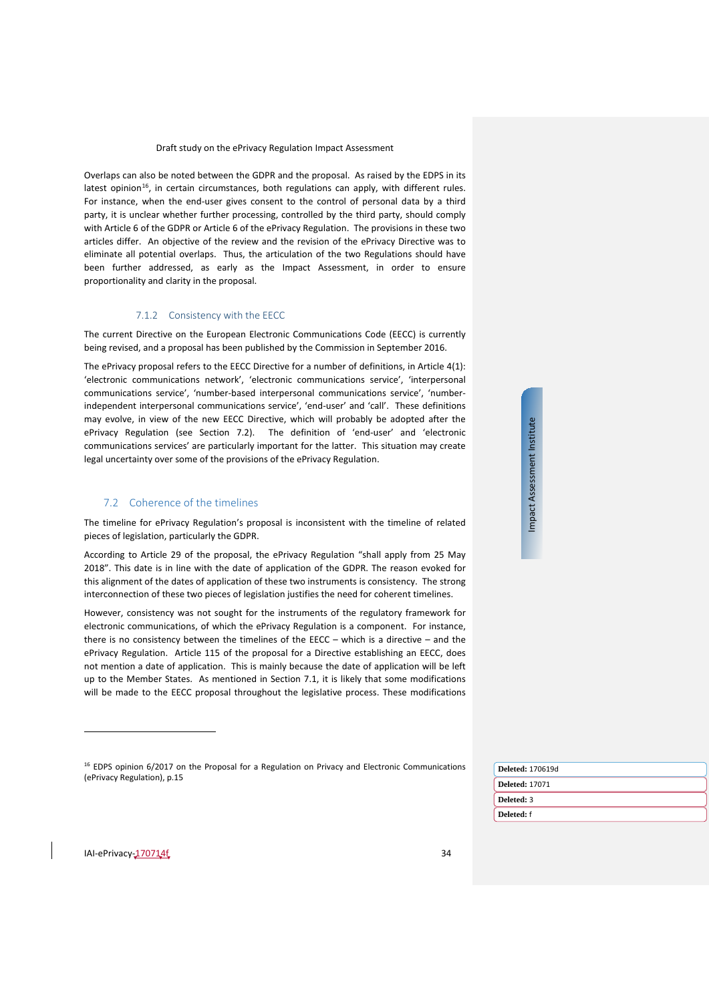Overlaps can also be noted between the GDPR and the proposal. As raised by the EDPS in its latest opinion<sup>16</sup>, in certain circumstances, both regulations can apply, with different rules. For instance, when the end-user gives consent to the control of personal data by a third party, it is unclear whether further processing, controlled by the third party, should comply with Article 6 of the GDPR or Article 6 of the ePrivacy Regulation. The provisions in these two articles differ. An objective of the review and the revision of the ePrivacy Directive was to eliminate all potential overlaps. Thus, the articulation of the two Regulations should have been further addressed, as early as the Impact Assessment, in order to ensure proportionality and clarity in the proposal.

#### 7.1.2 Consistency with the EECC

<span id="page-33-0"></span>The current Directive on the European Electronic Communications Code (EECC) is currently being revised, and a proposal has been published by the Commission in September 2016.

The ePrivacy proposal refers to the EECC Directive for a number of definitions, in Article 4(1): 'electronic communications network', 'electronic communications service', 'interpersonal communications service', 'number-based interpersonal communications service', 'numberindependent interpersonal communications service', 'end-user' and 'call'. These definitions may evolve, in view of the new EECC Directive, which will probably be adopted after the ePrivacy Regulation (see Section [7.2\)](#page-33-1). The definition of 'end-user' and 'electronic communications services' are particularly important for the latter. This situation may create legal uncertainty over some of the provisions of the ePrivacy Regulation.

# <span id="page-33-1"></span>7.2 Coherence of the timelines

The timeline for ePrivacy Regulation's proposal is inconsistent with the timeline of related pieces of legislation, particularly the GDPR.

According to Article 29 of the proposal, the ePrivacy Regulation "shall apply from 25 May 2018". This date is in line with the date of application of the GDPR. The reason evoked for this alignment of the dates of application of these two instruments is consistency. The strong interconnection of these two pieces of legislation justifies the need for coherent timelines.

However, consistency was not sought for the instruments of the regulatory framework for electronic communications, of which the ePrivacy Regulation is a component. For instance, there is no consistency between the timelines of the EECC – which is a directive – and the ePrivacy Regulation. Article 115 of the proposal for a Directive establishing an EECC, does not mention a date of application. This is mainly because the date of application will be left up to the Member States. As mentioned in Section [7.1,](#page-32-1) it is likely that some modifications will be made to the EECC proposal throughout the legislative process. These modifications

<sup>16</sup> EDPS opinion 6/2017 on the Proposal for a Regulation on Privacy and Electronic Communications (ePrivacy Regulation), p.15

| <b>Deleted: 170619d</b> |
|-------------------------|
| <b>Deleted: 17071</b>   |
| Deleted: 3              |
| Deleted: f              |
|                         |

<span id="page-33-2"></span>IAI-ePrivacy-170714f 34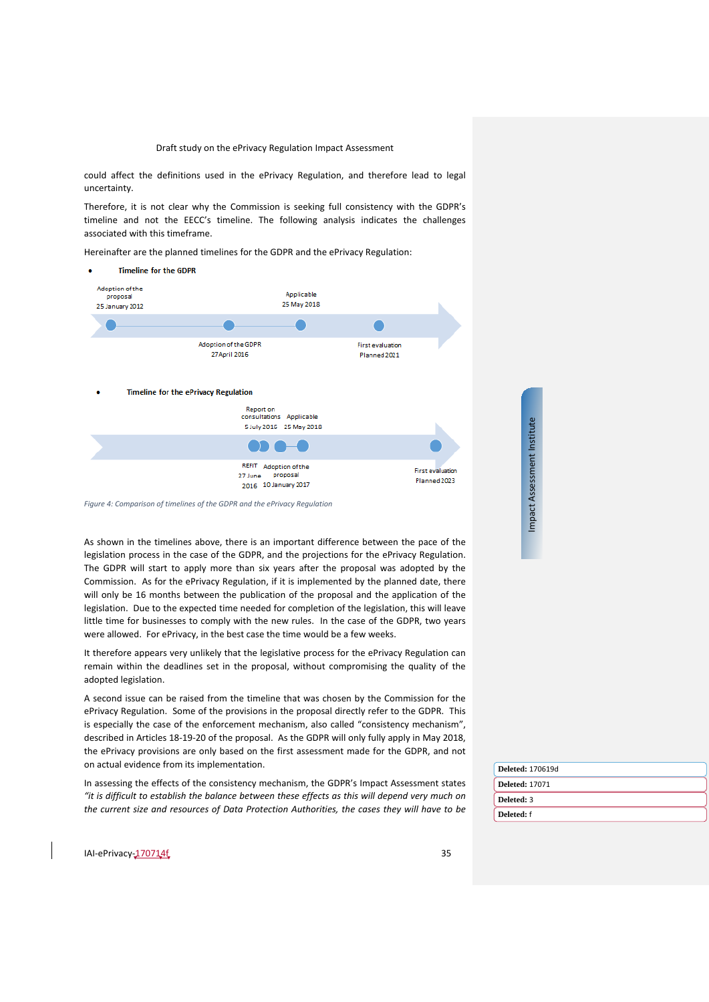could affect the definitions used in the ePrivacy Regulation, and therefore lead to legal uncertainty.

Therefore, it is not clear why the Commission is seeking full consistency with the GDPR's timeline and not the EECC's timeline. The following analysis indicates the challenges associated with this timeframe.

Hereinafter are the planned timelines for the GDPR and the ePrivacy Regulation:



*Figure 4: Comparison of timelines of the GDPR and the ePrivacy Regulation*

As shown in the timelines above, there is an important difference between the pace of the legislation process in the case of the GDPR, and the projections for the ePrivacy Regulation. The GDPR will start to apply more than six years after the proposal was adopted by the Commission. As for the ePrivacy Regulation, if it is implemented by the planned date, there will only be 16 months between the publication of the proposal and the application of the legislation. Due to the expected time needed for completion of the legislation, this will leave little time for businesses to comply with the new rules. In the case of the GDPR, two years were allowed. For ePrivacy, in the best case the time would be a few weeks.

It therefore appears very unlikely that the legislative process for the ePrivacy Regulation can remain within the deadlines set in the proposal, without compromising the quality of the adopted legislation.

A second issue can be raised from the timeline that was chosen by the Commission for the ePrivacy Regulation. Some of the provisions in the proposal directly refer to the GDPR. This is especially the case of the enforcement mechanism, also called "consistency mechanism", described in Articles 18-19-20 of the proposal. As the GDPR will only fully apply in May 2018, the ePrivacy provisions are only based on the first assessment made for the GDPR, and not on actual evidence from its implementation.

In assessing the effects of the consistency mechanism, the GDPR's Impact Assessment states *"it is difficult to establish the balance between these effects as this will depend very much on the current size and resources of Data Protection Authorities, the cases they will have to be*  **Deleted:** 170619d **Deleted:** 17071 **Deleted:** 3 **Deleted:** f

Impact Assessment Institute

Impact Assessment Institute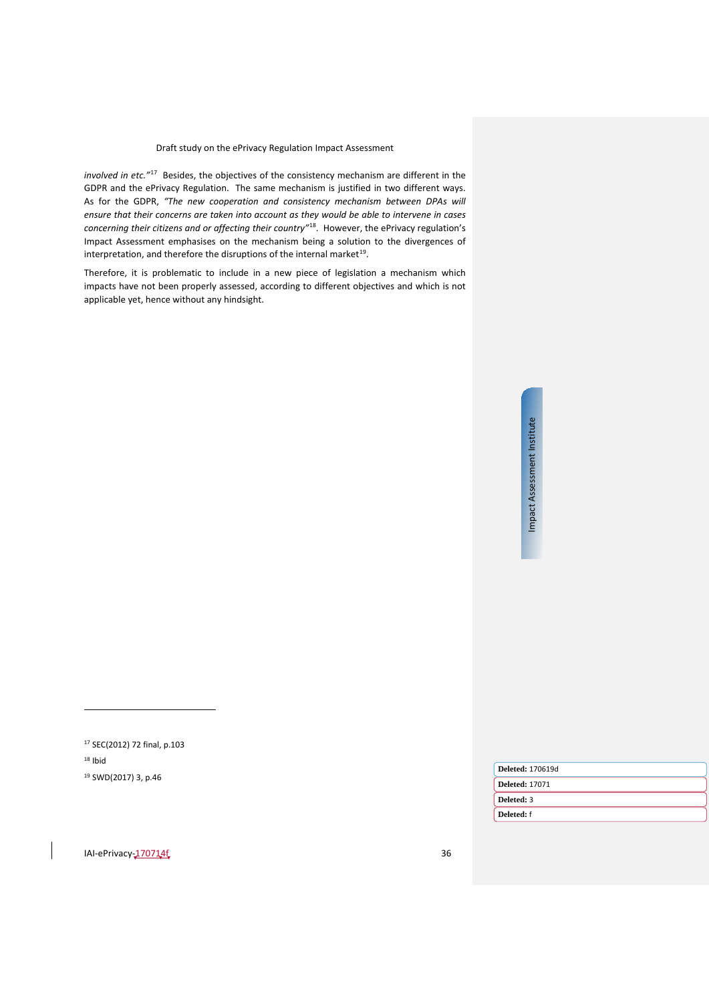*involved in etc."*[17](#page-35-0) Besides, the objectives of the consistency mechanism are different in the GDPR and the ePrivacy Regulation. The same mechanism is justified in two different ways. As for the GDPR, *"The new cooperation and consistency mechanism between DPAs will ensure that their concerns are taken into account as they would be able to intervene in cases concerning their citizens and or affecting their country"*[18](#page-35-1). However, the ePrivacy regulation's Impact Assessment emphasises on the mechanism being a solution to the divergences of interpretation, and therefore the disruptions of the internal market<sup>19</sup>.

Therefore, it is problematic to include in a new piece of legislation a mechanism which impacts have not been properly assessed, according to different objectives and which is not applicable yet, hence without any hindsight.

 $\overline{a}$ 

<span id="page-35-2"></span><span id="page-35-1"></span><span id="page-35-0"></span>

| <sup>17</sup> SEC(2012) 72 final, p.103 |                         |
|-----------------------------------------|-------------------------|
| $18$ Ibid                               |                         |
| <sup>19</sup> SWD(2017) 3, p.46         | <b>Deleted: 170619d</b> |
|                                         | <b>Deleted: 17071</b>   |
|                                         | Deleted: 3              |
|                                         | Deleted: f              |
|                                         |                         |
|                                         |                         |
| IAI-ePrivacy-170714f                    | 36                      |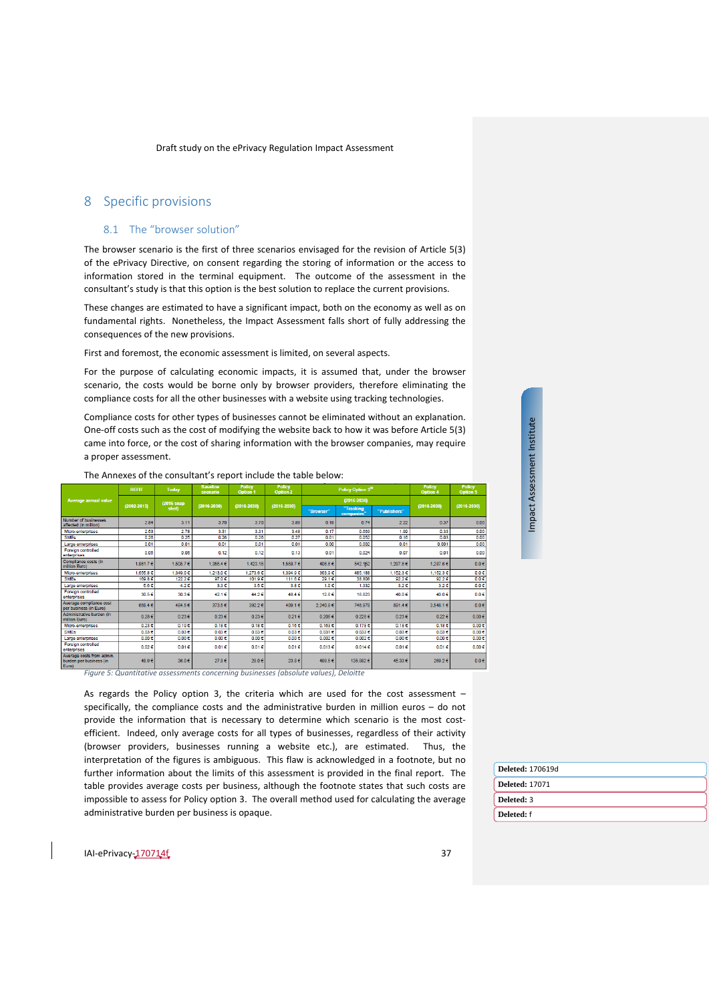# <span id="page-36-1"></span><span id="page-36-0"></span>8 Specific provisions

#### 8.1 The "browser solution"

The browser scenario is the first of three scenarios envisaged for the revision of Article 5(3) of the ePrivacy Directive, on consent regarding the storing of information or the access to information stored in the terminal equipment. The outcome of the assessment in the consultant's study is that this option is the best solution to replace the current provisions.

These changes are estimated to have a significant impact, both on the economy as well as on fundamental rights. Nonetheless, the Impact Assessment falls short of fully addressing the consequences of the new provisions.

First and foremost, the economic assessment is limited, on several aspects.

For the purpose of calculating economic impacts, it is assumed that, under the browser scenario, the costs would be borne only by browser providers, therefore eliminating the compliance costs for all the other businesses with a website using tracking technologies.

Compliance costs for other types of businesses cannot be eliminated without an explanation. One-off costs such as the cost of modifying the website back to how it was before Article 5(3) came into force, or the cost of sharing information with the browser companies, may require a proper assessment.

 $(2016 \text{ s} \text{na})$  $12016$  $2.8$  $3.11$  $3.70$  $3.70$  $3.89$  $0.19$  $0.74$  $2.22$  $0.37$ Micro-enterprises  $\frac{0.663}{0.052}$  $\frac{3.31}{0.26}$  $\frac{3.4}{0.2}$  $rac{2.5}{0.2}$  $rac{2.78}{0.25}$  $\frac{0.31}{0.26}$  $\frac{0.1}{0.0}$  $rac{0.35}{0.05}$ arge e  $0.12$  $0.05$  $0.06$  $0.12$  $0.13$  $0.01$  $0.024$  $0.07$  $0.01$ 1,861.7 1,505.7 €  $1,355.4$  €  $1,423.15$ 1,558.7€ 406.6 € 542.162  $1,287.6$ 1,287.6€ ,349.0  $\frac{1}{97.0}$  $\frac{1}{111.6}$ 169.8  $101.96$  $29.16$ 38.80  $92.2$  $\frac{1}{92.25}$ 56  $421$  $3.3f$  $356$  $3.8$  $10<sub>1</sub>$  $133$  $\overline{32}$  $30.5$  $30.36$  $42.16$  $40.0$  $44.25$  $48.4$  $12.6$ 16.82  $40.0<sub>0</sub>$ 658.4 484.5  $\frac{1}{373.56}$ 392.2€  $409.1$ .<br>2,240.9 € 746.97 591.4 \_<br>3,548.1€  $0.28$  $0.236$  $0.23 \in$  $0.23 \in$  $0.216$  $0.2086$  $0.2266$  $0.23$  $0.226$  $0.006$ 1.18 1.18  $0.036$ <br>0.00 €  $\frac{0.03}{0.00}$  $0.03 \in$ <br>0.00 €  $\begin{array}{c} 0.03 \in \phantom{0} \\ 0.00 \in \end{array}$  $\frac{0.03}{0.00}$  $0.031$  €<br>0.002 €  $\frac{0.033}{0.002}$  $0.03 \in$ <br>0.00  $\in$  $\frac{0.00 \in}{0.00 \in}$  $\frac{0.03}{0.00}$  $0.01 \in$  $0.02$  $0.01$  $0.01$  $0.016$  $0.01$  $0.013$  $0.014$  $0.01$  $0.00%$ 48.9 36.0  $27.8€$  $28.0%$  $23.8$ 499.5€ 135,982€  $45.336$  $0.0<sub>0</sub>$ 269.2€

The Annexes of the consultant's report include the table below:

*Figure 5: Quantitative assessments concerning businesses (absolute values), Deloitte*

As regards the Policy option 3, the criteria which are used for the cost assessment – specifically, the compliance costs and the administrative burden in million euros – do not provide the information that is necessary to determine which scenario is the most costefficient. Indeed, only average costs for all types of businesses, regardless of their activity (browser providers, businesses running a website etc.), are estimated. Thus, the interpretation of the figures is ambiguous. This flaw is acknowledged in a footnote, but no further information about the limits of this assessment is provided in the final report. The table provides average costs per business, although the footnote states that such costs are impossible to assess for Policy option 3. The overall method used for calculating the average administrative burden per business is opaque.

**Deleted:** 170619d **Deleted:** 17071 **Deleted:** 3 **Deleted:** f

Impact Assessment Institute

Impact Assessment Institute

 $0.00$ 

 $0.00$ 

 $0.0<sub>0</sub>$  $\begin{array}{c} 0.0 \in \phantom{0} \\ 0.0 \in \phantom{0} \\ 0.0 \in \phantom{0} \end{array}$ 

 $\overline{0.0}$ 

 $0.06$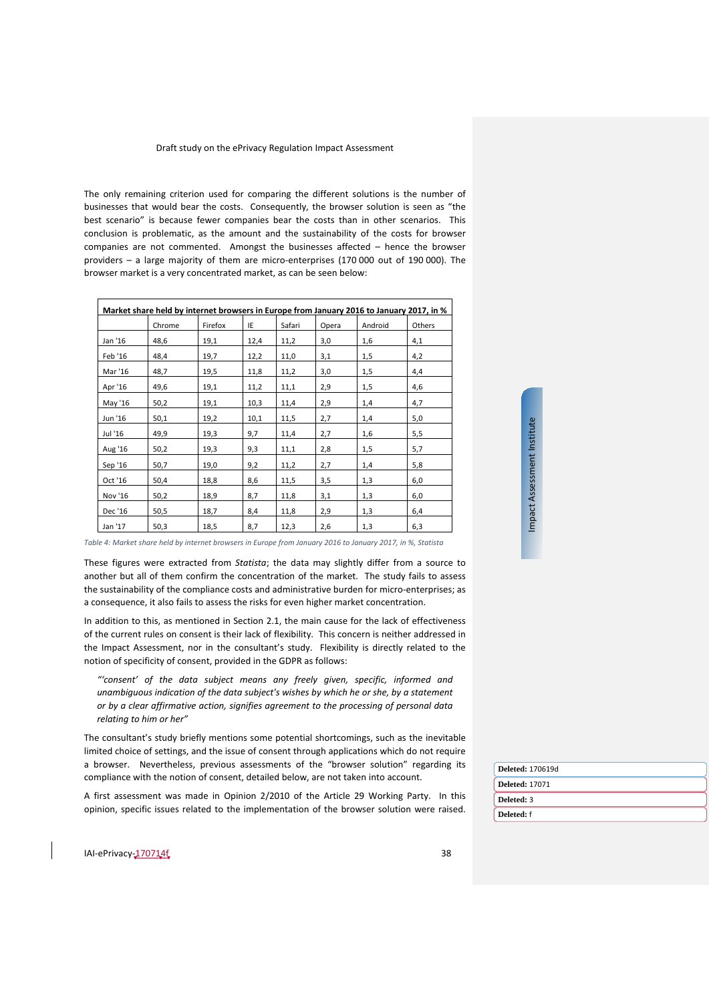The only remaining criterion used for comparing the different solutions is the number of businesses that would bear the costs. Consequently, the browser solution is seen as "the best scenario" is because fewer companies bear the costs than in other scenarios. This conclusion is problematic, as the amount and the sustainability of the costs for browser companies are not commented. Amongst the businesses affected – hence the browser providers – a large majority of them are micro-enterprises (170 000 out of 190 000). The browser market is a very concentrated market, as can be seen below:

| Market share held by internet browsers in Europe from January 2016 to January 2017, in % |        |         |      |        |       |         |        |
|------------------------------------------------------------------------------------------|--------|---------|------|--------|-------|---------|--------|
|                                                                                          | Chrome | Firefox | ΙE   | Safari | Opera | Android | Others |
| Jan '16                                                                                  | 48,6   | 19,1    | 12,4 | 11,2   | 3,0   | 1,6     | 4,1    |
| Feb '16                                                                                  | 48,4   | 19,7    | 12,2 | 11,0   | 3,1   | 1,5     | 4,2    |
| Mar '16                                                                                  | 48,7   | 19,5    | 11,8 | 11,2   | 3,0   | 1,5     | 4,4    |
| Apr '16                                                                                  | 49,6   | 19,1    | 11,2 | 11,1   | 2,9   | 1,5     | 4,6    |
| May '16                                                                                  | 50,2   | 19,1    | 10,3 | 11,4   | 2,9   | 1,4     | 4,7    |
| Jun '16                                                                                  | 50,1   | 19,2    | 10,1 | 11,5   | 2,7   | 1,4     | 5,0    |
| Jul '16                                                                                  | 49,9   | 19,3    | 9,7  | 11,4   | 2,7   | 1,6     | 5,5    |
| Aug '16                                                                                  | 50,2   | 19,3    | 9,3  | 11,1   | 2,8   | 1,5     | 5,7    |
| Sep '16                                                                                  | 50,7   | 19,0    | 9,2  | 11,2   | 2,7   | 1,4     | 5,8    |
| Oct '16                                                                                  | 50,4   | 18,8    | 8,6  | 11,5   | 3,5   | 1,3     | 6,0    |
| Nov '16                                                                                  | 50,2   | 18,9    | 8,7  | 11,8   | 3,1   | 1,3     | 6,0    |
| Dec '16                                                                                  | 50,5   | 18,7    | 8,4  | 11,8   | 2,9   | 1,3     | 6,4    |
| Jan '17                                                                                  | 50,3   | 18,5    | 8,7  | 12,3   | 2,6   | 1,3     | 6,3    |

*Table 4: Market share held by internet browsers in Europe from January 2016 to January 2017, in %, Statista*

These figures were extracted from *Statista*; the data may slightly differ from a source to another but all of them confirm the concentration of the market. The study fails to assess the sustainability of the compliance costs and administrative burden for micro-enterprises; as a consequence, it also fails to assess the risks for even higher market concentration.

In addition to this, as mentioned in Section [2.1,](#page-6-1) the main cause for the lack of effectiveness of the current rules on consent is their lack of flexibility. This concern is neither addressed in the Impact Assessment, nor in the consultant's study. Flexibility is directly related to the notion of specificity of consent, provided in the GDPR as follows:

*"'consent' of the data subject means any freely given, specific, informed and unambiguous indication of the data subject's wishes by which he or she, by a statement or by a clear affirmative action, signifies agreement to the processing of personal data relating to him or her"*

The consultant's study briefly mentions some potential shortcomings, such as the inevitable limited choice of settings, and the issue of consent through applications which do not require a browser. Nevertheless, previous assessments of the "browser solution" regarding its compliance with the notion of consent, detailed below, are not taken into account.

A first assessment was made in Opinion 2/2010 of the Article 29 Working Party. In this opinion, specific issues related to the implementation of the browser solution were raised.

**Deleted:** 170619d **Deleted:** 17071 **Deleted:** 3 **Deleted:** f

Impact Assessment Institute

Impact Assessment Institute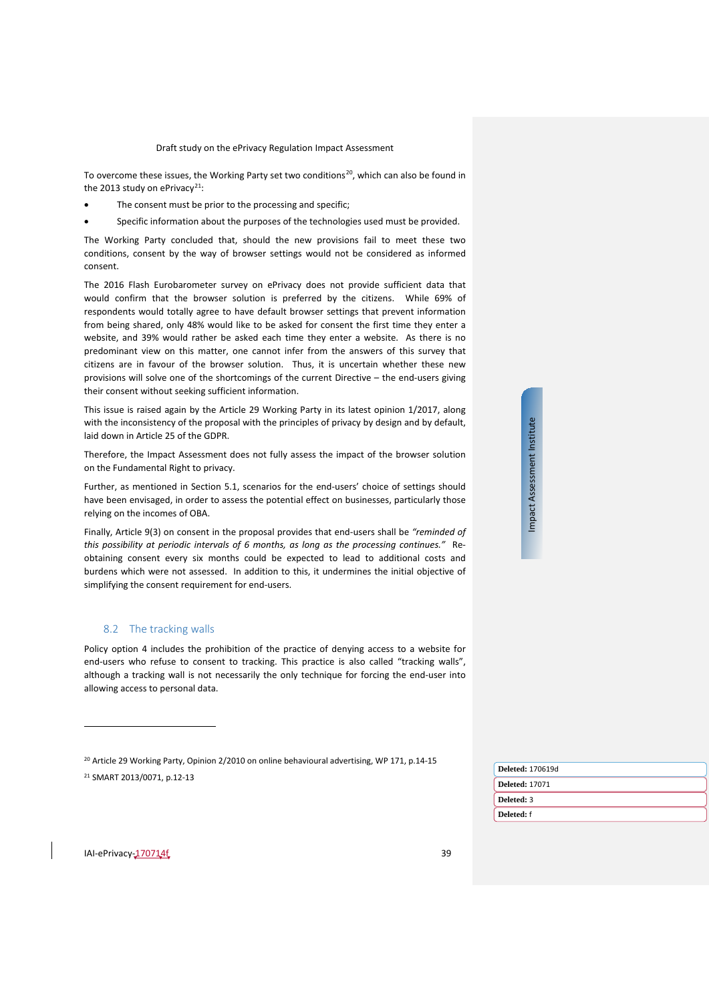To overcome these issues, the Working Party set two conditions<sup>[20](#page-38-1)</sup>, which can also be found in the 2013 study on ePrivacy<sup>[21](#page-38-2)</sup>:

- The consent must be prior to the processing and specific;
- Specific information about the purposes of the technologies used must be provided.

The Working Party concluded that, should the new provisions fail to meet these two conditions, consent by the way of browser settings would not be considered as informed consent.

The 2016 Flash Eurobarometer survey on ePrivacy does not provide sufficient data that would confirm that the browser solution is preferred by the citizens. While 69% of respondents would totally agree to have default browser settings that prevent information from being shared, only 48% would like to be asked for consent the first time they enter a website, and 39% would rather be asked each time they enter a website. As there is no predominant view on this matter, one cannot infer from the answers of this survey that citizens are in favour of the browser solution. Thus, it is uncertain whether these new provisions will solve one of the shortcomings of the current Directive – the end-users giving their consent without seeking sufficient information.

This issue is raised again by the Article 29 Working Party in its latest opinion 1/2017, along with the inconsistency of the proposal with the principles of privacy by design and by default, laid down in Article 25 of the GDPR.

Therefore, the Impact Assessment does not fully assess the impact of the browser solution on the Fundamental Right to privacy.

Further, as mentioned in Section [5.1,](#page-24-1) scenarios for the end-users' choice of settings should have been envisaged, in order to assess the potential effect on businesses, particularly those relying on the incomes of OBA.

Finally, Article 9(3) on consent in the proposal provides that end-users shall be *"reminded of this possibility at periodic intervals of 6 months, as long as the processing continues."* Reobtaining consent every six months could be expected to lead to additional costs and burdens which were not assessed. In addition to this, it undermines the initial objective of simplifying the consent requirement for end-users.

#### <span id="page-38-0"></span>8.2 The tracking walls

Policy option 4 includes the prohibition of the practice of denying access to a website for end-users who refuse to consent to tracking. This practice is also called "tracking walls", although a tracking wall is not necessarily the only technique for forcing the end-user into allowing access to personal data.

<sup>20</sup> [Article 29 Working Party, Opinion 2/2010 on online behavioural advertising, WP 171, p.14-15](http://ec.europa.eu/justice/policies/privacy/docs/wpdocs/2010/wp171_en.pdf) <sup>21</sup> SMART 2013/0071, p.12-13

| į    |
|------|
|      |
|      |
| ŗ    |
|      |
|      |
|      |
| čcoc |
|      |
|      |
|      |
|      |
| J    |
| ŗ    |
|      |
|      |
|      |

|  | Deleted: 170619d      |
|--|-----------------------|
|  | <b>Deleted: 17071</b> |
|  | Deleted: 3            |
|  | Deleted: f            |
|  |                       |

<span id="page-38-2"></span><span id="page-38-1"></span>IAI-ePrivacy-170714f 39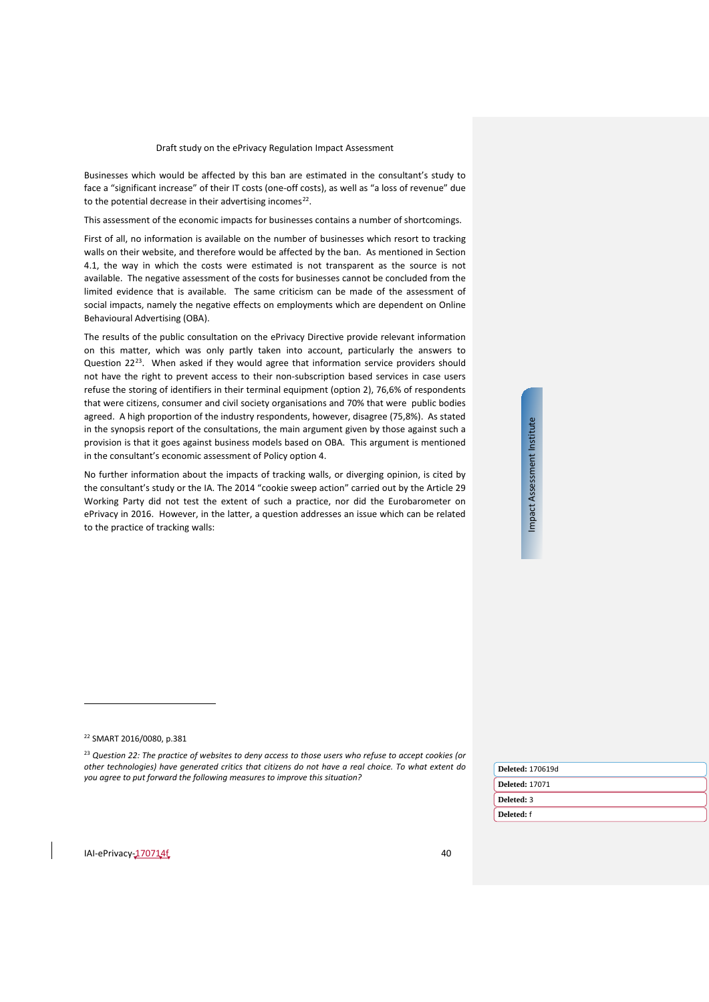Businesses which would be affected by this ban are estimated in the consultant's study to face a "significant increase" of their IT costs (one-off costs), as well as "a loss of revenue" due to the potential decrease in their advertising incomes<sup>22</sup>.

This assessment of the economic impacts for businesses contains a number of shortcomings.

First of all, no information is available on the number of businesses which resort to tracking walls on their website, and therefore would be affected by the ban. As mentioned in Section [4.1,](#page-20-1) the way in which the costs were estimated is not transparent as the source is not available. The negative assessment of the costs for businesses cannot be concluded from the limited evidence that is available. The same criticism can be made of the assessment of social impacts, namely the negative effects on employments which are dependent on Online Behavioural Advertising (OBA).

The results of the public consultation on the ePrivacy Directive provide relevant information on this matter, which was only partly taken into account, particularly the answers to Question 22<sup>[23](#page-39-1)</sup>. When asked if they would agree that information service providers should not have the right to prevent access to their non-subscription based services in case users refuse the storing of identifiers in their terminal equipment (option 2), 76,6% of respondents that were citizens, consumer and civil society organisations and 70% that were public bodies agreed. A high proportion of the industry respondents, however, disagree (75,8%). As stated in the synopsis report of the consultations, the main argument given by those against such a provision is that it goes against business models based on OBA. This argument is mentioned in the consultant's economic assessment of Policy option 4.

No further information about the impacts of tracking walls, or diverging opinion, is cited by the consultant's study or the IA. The 2014 "cookie sweep action" carried out by the Article 29 Working Party did not test the extent of such a practice, nor did the Eurobarometer on ePrivacy in 2016. However, in the latter, a question addresses an issue which can be related to the practice of tracking walls:

Impact Assessment Institute Impact Assessment Institute

 $\overline{a}$ 

| <b>Deleted: 170619d</b> |
|-------------------------|
| <b>Deleted: 17071</b>   |
| Deleted: 3              |
| Deleted: f              |
|                         |

<sup>22</sup> SMART 2016/0080, p.381

<span id="page-39-1"></span><span id="page-39-0"></span><sup>23</sup> *Question 22: The practice of websites to deny access to those users who refuse to accept cookies (or other technologies) have generated critics that citizens do not have a real choice. To what extent do you agree to put forward the following measures to improve this situation?*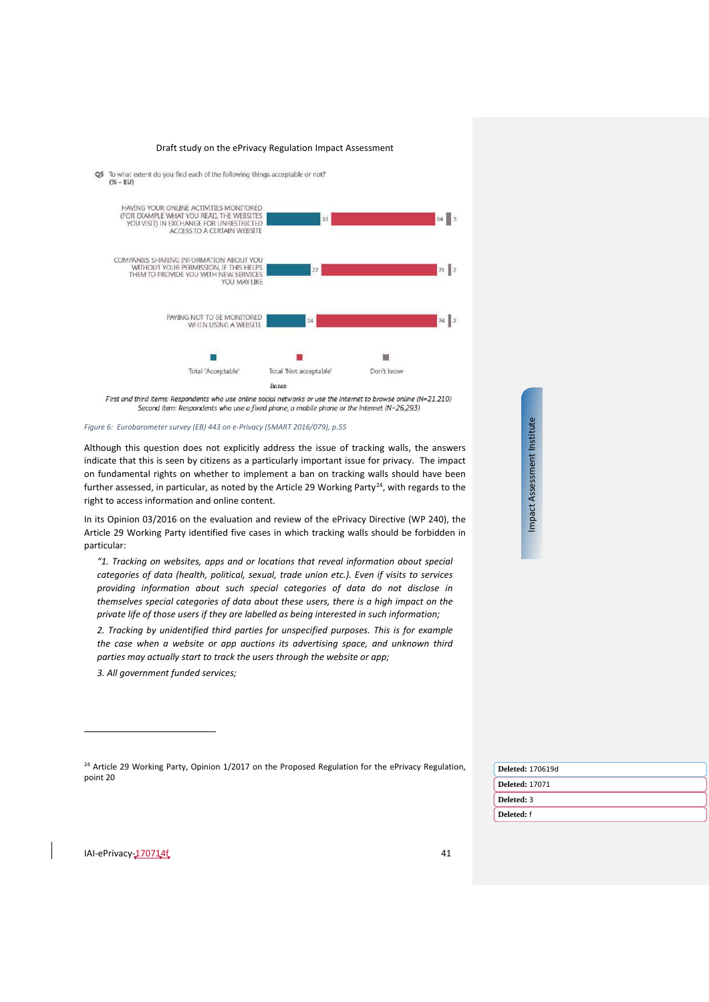





First and third items: Respondents who use online social networks or use the Internet to browse online (N=21.210) Second item: Respondents who use a fixed phone, a mobile phone or the Internet (N=26,293)

*Figure 6: Eurobarometer survey (EB) 443 on e-Privacy (SMART 2016/079), p.55*

Although this question does not explicitly address the issue of tracking walls, the answers indicate that this is seen by citizens as a particularly important issue for privacy. The impact on fundamental rights on whether to implement a ban on tracking walls should have been further assessed, in particular, as noted by the Article 29 Working Party<sup>24</sup>, with regards to the right to access information and online content.

In its Opinion 03/2016 on the evaluation and review of the ePrivacy Directive (WP 240), the Article 29 Working Party identified five cases in which tracking walls should be forbidden in particular:

*"1. Tracking on websites, apps and or locations that reveal information about special categories of data (health, political, sexual, trade union etc.). Even if visits to services providing information about such special categories of data do not disclose in themselves special categories of data about these users, there is a high impact on the private life of those users if they are labelled as being interested in such information;*

*2. Tracking by unidentified third parties for unspecified purposes. This is for example the case when a website or app auctions its advertising space, and unknown third parties may actually start to track the users through the website or app;*

*3. All government funded services;*

|          |  |  |  |  |  | <sup>24</sup> Article 29 Working Party, Opinion 1/2017 on the Proposed Regulation for the ePrivacy Regulation, |
|----------|--|--|--|--|--|----------------------------------------------------------------------------------------------------------------|
| point 20 |  |  |  |  |  |                                                                                                                |

| <b>Deleted: 170619d</b> |
|-------------------------|
| <b>Deleted: 17071</b>   |
| Deleted: 3              |
| Deleted: f              |
|                         |

<span id="page-40-0"></span>IAI-ePrivacy-170714f 41

 $\overline{a}$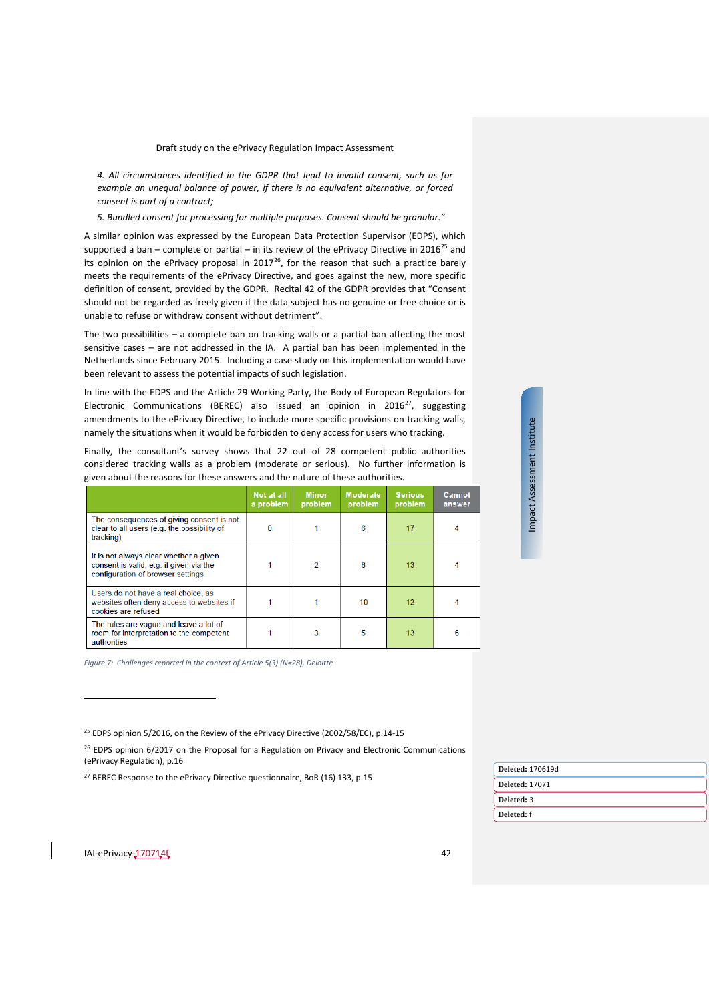*4. All circumstances identified in the GDPR that lead to invalid consent, such as for example an unequal balance of power, if there is no equivalent alternative, or forced consent is part of a contract;*

*5. Bundled consent for processing for multiple purposes. Consent should be granular."*

A similar opinion was expressed by the European Data Protection Supervisor (EDPS), which supported a ban – complete or partial – in its review of the ePrivacy Directive in 2016<sup>25</sup> and its opinion on the ePrivacy proposal in  $2017^{26}$ , for the reason that such a practice barely meets the requirements of the ePrivacy Directive, and goes against the new, more specific definition of consent, provided by the GDPR. Recital 42 of the GDPR provides that "Consent should not be regarded as freely given if the data subject has no genuine or free choice or is unable to refuse or withdraw consent without detriment".

The two possibilities – a complete ban on tracking walls or a partial ban affecting the most sensitive cases – are not addressed in the IA. A partial ban has been implemented in the Netherlands since February 2015. Including a case study on this implementation would have been relevant to assess the potential impacts of such legislation.

In line with the EDPS and the Article 29 Working Party, the Body of European Regulators for Electronic Communications (BEREC) also issued an opinion in 2016<sup>27</sup>, suggesting amendments to the ePrivacy Directive, to include more specific provisions on tracking walls, namely the situations when it would be forbidden to deny access for users who tracking.

Finally, the consultant's survey shows that 22 out of 28 competent public authorities considered tracking walls as a problem (moderate or serious). No further information is given about the reasons for these answers and the nature of these authorities.

|                                                                                                                        | Not at all<br>a problem | <b>Minor</b><br>problem | <b>Moderate</b><br>problem | <b>Serious</b><br>problem | Cannot<br>answer |
|------------------------------------------------------------------------------------------------------------------------|-------------------------|-------------------------|----------------------------|---------------------------|------------------|
| The consequences of giving consent is not<br>clear to all users (e.g. the possibility of<br>tracking)                  | n                       |                         | 6                          | 17                        |                  |
| It is not always clear whether a given<br>consent is valid, e.g. if given via the<br>configuration of browser settings |                         | 2                       | 8                          | 13                        | 4                |
| Users do not have a real choice, as<br>websites often deny access to websites if<br>cookies are refused                |                         |                         | 10                         | 12                        |                  |
| The rules are vague and leave a lot of<br>room for interpretation to the competent<br>authorities                      |                         | 3                       | 5                          | 13                        | 6                |

*Figure 7: Challenges reported in the context of Article 5(3) (N=28), Deloitte* 

<sup>25</sup> EDPS opinion 5/2016, on the Review of the ePrivacy Directive (2002/58/EC), p.14-15

<sup>26</sup> EDPS opinion 6/2017 on the Proposal for a Regulation on Privacy and Electronic Communications (ePrivacy Regulation), p.16

<span id="page-41-0"></span><sup>27</sup> BEREC Response to the ePrivacy Directive questionnaire, BoR (16) 133, p.15

| Deleted: 170619d      |
|-----------------------|
| <b>Deleted: 17071</b> |
| Deleted: 3            |
| Deleted: f            |
|                       |

Impact Assessment Institute

Impact Assessment Institute

<span id="page-41-2"></span><span id="page-41-1"></span>IAI-ePrivacy-170714f 42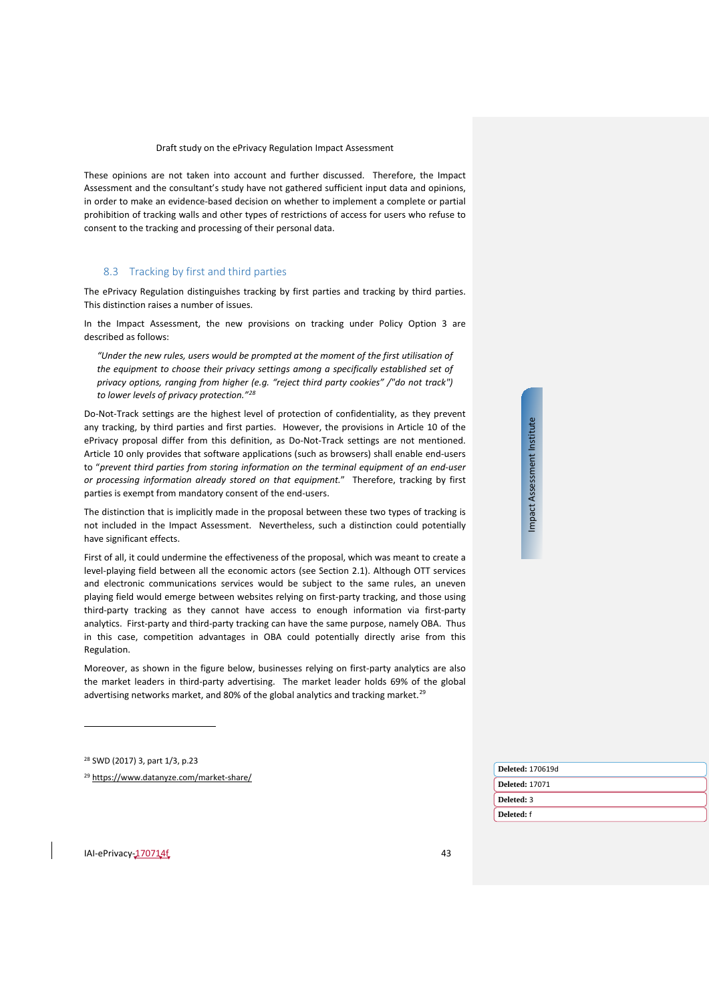These opinions are not taken into account and further discussed. Therefore, the Impact Assessment and the consultant's study have not gathered sufficient input data and opinions, in order to make an evidence-based decision on whether to implement a complete or partial prohibition of tracking walls and other types of restrictions of access for users who refuse to consent to the tracking and processing of their personal data.

#### <span id="page-42-0"></span>8.3 Tracking by first and third parties

The ePrivacy Regulation distinguishes tracking by first parties and tracking by third parties. This distinction raises a number of issues.

In the Impact Assessment, the new provisions on tracking under Policy Option 3 are described as follows:

*"Under the new rules, users would be prompted at the moment of the first utilisation of the equipment to choose their privacy settings among a specifically established set of privacy options, ranging from higher (e.g. "reject third party cookies" /"do not track") to lower levels of privacy protection."[28](#page-42-1)*

Do-Not-Track settings are the highest level of protection of confidentiality, as they prevent any tracking, by third parties and first parties. However, the provisions in Article 10 of the ePrivacy proposal differ from this definition, as Do-Not-Track settings are not mentioned. Article 10 only provides that software applications (such as browsers) shall enable end-users to "*prevent third parties from storing information on the terminal equipment of an end-user or processing information already stored on that equipment.*" Therefore, tracking by first parties is exempt from mandatory consent of the end-users.

The distinction that is implicitly made in the proposal between these two types of tracking is not included in the Impact Assessment. Nevertheless, such a distinction could potentially have significant effects.

First of all, it could undermine the effectiveness of the proposal, which was meant to create a level-playing field between all the economic actors (see Section [2.1\)](#page-6-1). Although OTT services and electronic communications services would be subject to the same rules, an uneven playing field would emerge between websites relying on first-party tracking, and those using third-party tracking as they cannot have access to enough information via first-party analytics. First-party and third-party tracking can have the same purpose, namely OBA. Thus in this case, competition advantages in OBA could potentially directly arise from this Regulation.

Moreover, as shown in the figure below, businesses relying on first-party analytics are also the market leaders in third-party advertising. The market leader holds 69% of the global advertising networks market, and 80% of the global analytics and tracking market.<sup>[29](#page-42-2)</sup>

<sup>28</sup> SWD (2017) 3, part 1/3, p.23

 $\overline{a}$ 

<span id="page-42-2"></span><span id="page-42-1"></span><sup>29</sup> <https://www.datanyze.com/market-share/>

Impact Assessment Institute Impact Assessment Institute

| <b>Deleted: 170619d</b> |
|-------------------------|
| <b>Deleted: 17071</b>   |
| Deleted: 3              |
| Deleted: f              |
|                         |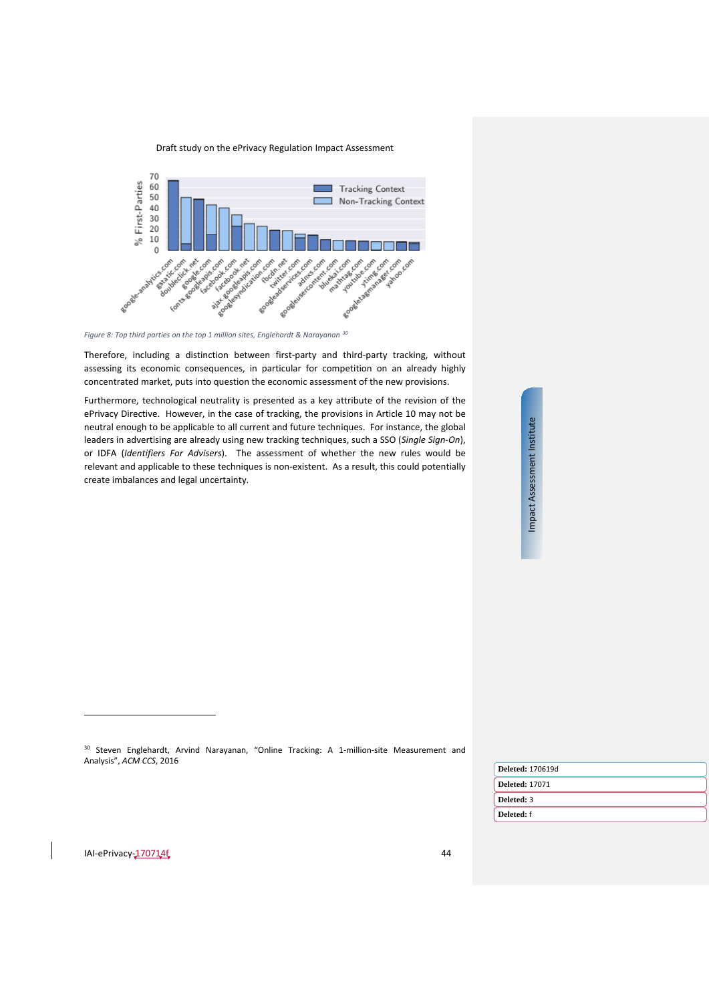



*Figure 8: Top third parties on the top 1 million sites, Englehardt & Narayanan [30](#page-43-0)*

Therefore, including a distinction between first-party and third-party tracking, without assessing its economic consequences, in particular for competition on an already highly concentrated market, puts into question the economic assessment of the new provisions.

Furthermore, technological neutrality is presented as a key attribute of the revision of the ePrivacy Directive. However, in the case of tracking, the provisions in Article 10 may not be neutral enough to be applicable to all current and future techniques. For instance, the global leaders in advertising are already using new tracking techniques, such a SSO (*Single Sign-On*), or IDFA (*Identifiers For Advisers*). The assessment of whether the new rules would be relevant and applicable to these techniques is non-existent. As a result, this could potentially create imbalances and legal uncertainty.

Impact Assessment Institute Impact Assessment Institute

<sup>30</sup> [Steven Englehardt, Arvind Narayanan, "Online Tracking: A 1-million-site Measurement and](http://randomwalker.info/publications/OpenWPM_1_million_site_tracking_measurement.pdf)  [Analysis",](http://randomwalker.info/publications/OpenWPM_1_million_site_tracking_measurement.pdf) *ACM CCS*, 2016

| <b>Deleted: 170619d</b> |
|-------------------------|
| <b>Deleted: 17071</b>   |
| Deleted: 3              |
| Deleted: f              |
|                         |

<span id="page-43-0"></span>IAI-ePrivacy-170714f 44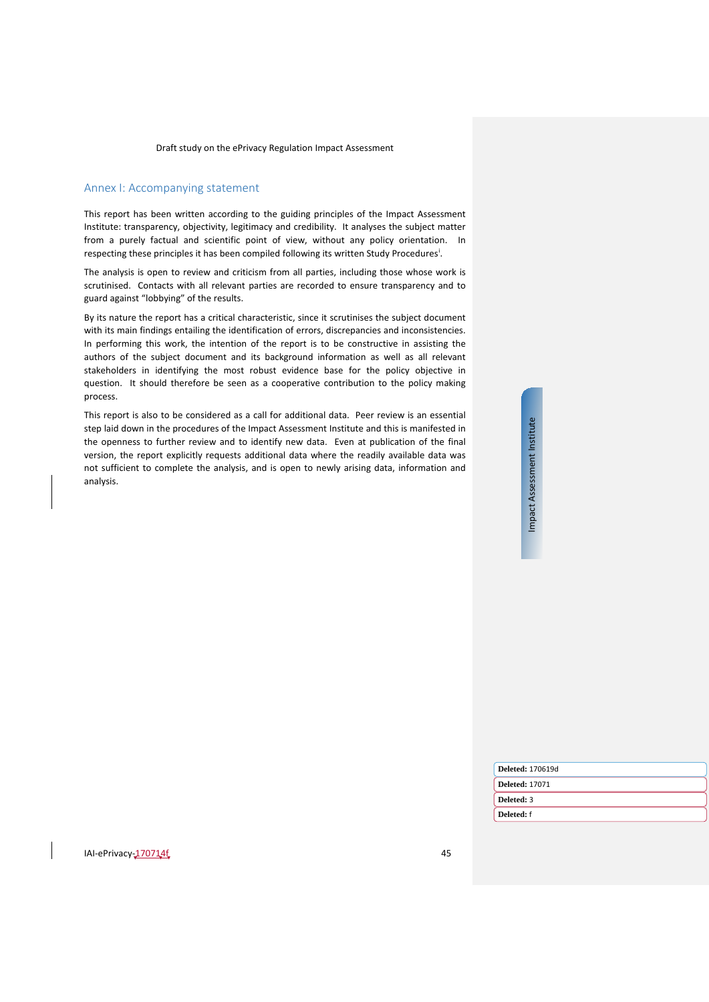# <span id="page-44-0"></span>Annex I: Accompanying statement

This report has been written according to the guiding principles of the Impact Assessment Institute: transparency, objectivity, legitimacy and credibility. It analyses the subject matter from a purely factual and scientific point of view, without any policy orientation. In respect[i](#page-45-1)ng these principles it has been compiled following its written Study Procedures<sup>i</sup>.

The analysis is open to review and criticism from all parties, including those whose work is scrutinised. Contacts with all relevant parties are recorded to ensure transparency and to guard against "lobbying" of the results.

By its nature the report has a critical characteristic, since it scrutinises the subject document with its main findings entailing the identification of errors, discrepancies and inconsistencies. In performing this work, the intention of the report is to be constructive in assisting the authors of the subject document and its background information as well as all relevant stakeholders in identifying the most robust evidence base for the policy objective in question. It should therefore be seen as a cooperative contribution to the policy making process.

This report is also to be considered as a call for additional data. Peer review is an essential step laid down in the procedures of the Impact Assessment Institute and this is manifested in the openness to further review and to identify new data. Even at publication of the final version, the report explicitly requests additional data where the readily available data was not sufficient to complete the analysis, and is open to newly arising data, information and analysis.

| <b>Deleted: 170619d</b> |
|-------------------------|
| <b>Deleted: 17071</b>   |
| Deleted: 3              |
| Deleted: f              |
|                         |